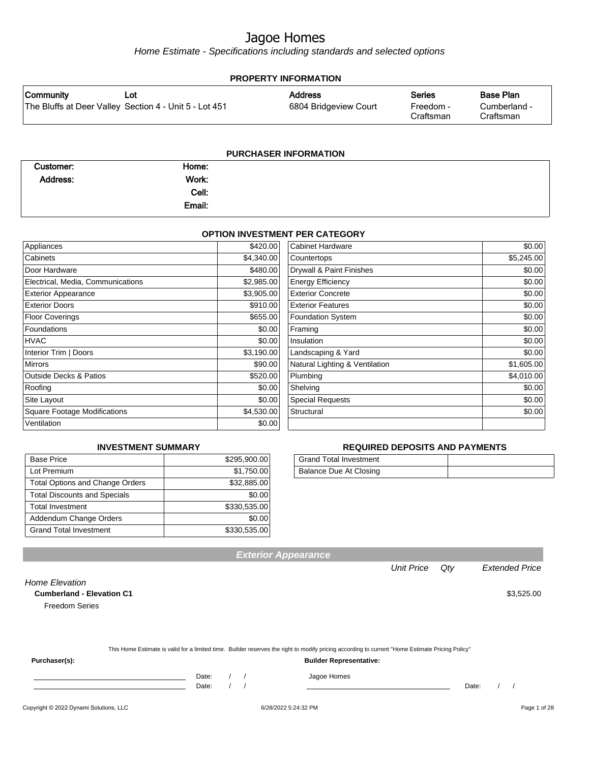Home Estimate - Specifications including standards and selected options

| <b>PROPERTY INFORMATION</b> |                                                        |                       |                        |                           |
|-----------------------------|--------------------------------------------------------|-----------------------|------------------------|---------------------------|
| Community                   | Lot                                                    | <b>Address</b>        | <b>Series</b>          | Base Plan                 |
|                             | The Bluffs at Deer Valley Section 4 - Unit 5 - Lot 451 | 6804 Bridgeview Court | Freedom -<br>Craftsman | Cumberland -<br>Craftsman |
|                             |                                                        |                       |                        |                           |

| <b>PURCHASER INFORMATION</b> |        |  |  |  |
|------------------------------|--------|--|--|--|
| Customer:                    | Home:  |  |  |  |
| Address:                     | Work:  |  |  |  |
|                              | Cell:  |  |  |  |
|                              | Email: |  |  |  |

#### **OPTION INVESTMENT PER CATEGORY**

| Appliances                          | \$420.00   | <b>Cabinet Hardware</b>        | \$0.00     |
|-------------------------------------|------------|--------------------------------|------------|
| Cabinets                            | \$4,340.00 | Countertops                    | \$5,245.00 |
| Door Hardware                       | \$480.00   | Drywall & Paint Finishes       | \$0.00     |
| Electrical, Media, Communications   | \$2,985.00 | <b>Energy Efficiency</b>       | \$0.00     |
| <b>Exterior Appearance</b>          | \$3,905.00 | <b>Exterior Concrete</b>       | \$0.00     |
| <b>Exterior Doors</b>               | \$910.00   | <b>Exterior Features</b>       | \$0.00     |
| <b>Floor Coverings</b>              | \$655.00   | <b>Foundation System</b>       | \$0.00     |
| Foundations                         | \$0.00     | Framing                        | \$0.00     |
| <b>HVAC</b>                         | \$0.00     | Insulation                     | \$0.00     |
| Interior Trim   Doors               | \$3,190.00 | Landscaping & Yard             | \$0.00     |
| <b>Mirrors</b>                      | \$90.00    | Natural Lighting & Ventilation | \$1,605.00 |
| <b>Outside Decks &amp; Patios</b>   | \$520.00   | Plumbing                       | \$4,010.00 |
| Roofing                             | \$0.00     | Shelving                       | \$0.00     |
| Site Layout                         | \$0.00     | <b>Special Requests</b>        | \$0.00     |
| <b>Square Footage Modifications</b> | \$4,530.00 | Structural                     | \$0.00     |
| Ventilation                         | \$0.00     |                                |            |

#### **INVESTMENT SUMMARY**

| <b>Base Price</b>                      | \$295,900.00 |
|----------------------------------------|--------------|
| Lot Premium                            | \$1,750.00   |
| <b>Total Options and Change Orders</b> | \$32,885.00  |
| <b>Total Discounts and Specials</b>    | \$0.00       |
| <b>Total Investment</b>                | \$330,535.00 |
| Addendum Change Orders                 | \$0.00       |
| <b>Grand Total Investment</b>          | \$330,535.00 |

#### **REQUIRED DEPOSITS AND PAYMENTS**

| Grand Total Investment |  |
|------------------------|--|
| Balance Due At Closing |  |

Unit Price Qty Extended Price

| <b>Cumberland - Elevation C1</b> |                                                                                                                                                  | \$3,525.00 |
|----------------------------------|--------------------------------------------------------------------------------------------------------------------------------------------------|------------|
| <b>Freedom Series</b>            |                                                                                                                                                  |            |
|                                  |                                                                                                                                                  |            |
|                                  | This Home Estimate is valid for a limited time. Builder reserves the right to modify pricing according to current "Home Estimate Pricing Policy" |            |
| Purchaser(s):                    | <b>Builder Representative:</b>                                                                                                                   |            |
|                                  | Date:<br>Jagoe Homes                                                                                                                             |            |

**Exterior Appearance**

Copyright © 2022 Dynami Solutions, LLC <br>
6/28/2022 5:24:32 PM Page 1 of 28

Home Elevation

Date: / / Date: / /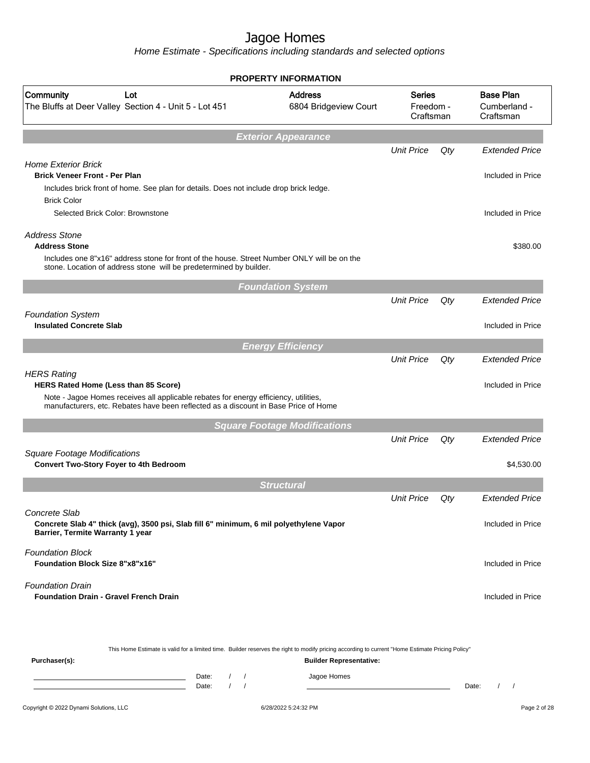Home Estimate - Specifications including standards and selected options

| Community<br>Lot<br>The Bluffs at Deer Valley Section 4 - Unit 5 - Lot 451                                                                                                                | <b>Address</b><br>6804 Bridgeview Court | <b>Series</b><br>Freedom -<br>Craftsman |     | <b>Base Plan</b><br>Cumberland -<br>Craftsman |
|-------------------------------------------------------------------------------------------------------------------------------------------------------------------------------------------|-----------------------------------------|-----------------------------------------|-----|-----------------------------------------------|
|                                                                                                                                                                                           | <b>Exterior Appearance</b>              |                                         |     |                                               |
|                                                                                                                                                                                           |                                         | <b>Unit Price</b>                       | Qty | <b>Extended Price</b>                         |
| <b>Home Exterior Brick</b><br><b>Brick Veneer Front - Per Plan</b>                                                                                                                        |                                         |                                         |     | Included in Price                             |
| Includes brick front of home. See plan for details. Does not include drop brick ledge.                                                                                                    |                                         |                                         |     |                                               |
| <b>Brick Color</b><br>Selected Brick Color: Brownstone                                                                                                                                    |                                         |                                         |     | Included in Price                             |
| <b>Address Stone</b>                                                                                                                                                                      |                                         |                                         |     |                                               |
| <b>Address Stone</b><br>Includes one 8"x16" address stone for front of the house. Street Number ONLY will be on the<br>stone. Location of address stone will be predetermined by builder. |                                         |                                         |     | \$380.00                                      |
|                                                                                                                                                                                           | <b>Foundation System</b>                |                                         |     |                                               |
|                                                                                                                                                                                           |                                         | <b>Unit Price</b>                       | Qty | <b>Extended Price</b>                         |
| <b>Foundation System</b>                                                                                                                                                                  |                                         |                                         |     |                                               |
| <b>Insulated Concrete Slab</b>                                                                                                                                                            |                                         |                                         |     | Included in Price                             |
|                                                                                                                                                                                           | <b>Energy Efficiency</b>                |                                         |     |                                               |
|                                                                                                                                                                                           |                                         | <b>Unit Price</b>                       | Qty | <b>Extended Price</b>                         |
| <b>HERS Rating</b><br>HERS Rated Home (Less than 85 Score)                                                                                                                                |                                         |                                         |     | Included in Price                             |
| Note - Jagoe Homes receives all applicable rebates for energy efficiency, utilities,<br>manufacturers, etc. Rebates have been reflected as a discount in Base Price of Home               |                                         |                                         |     |                                               |
|                                                                                                                                                                                           | <b>Square Footage Modifications</b>     |                                         |     |                                               |
|                                                                                                                                                                                           |                                         | <b>Unit Price</b>                       | Qty | <b>Extended Price</b>                         |
| <b>Square Footage Modifications</b><br><b>Convert Two-Story Foyer to 4th Bedroom</b>                                                                                                      |                                         |                                         |     | \$4,530.00                                    |
|                                                                                                                                                                                           | <b>Structural</b>                       |                                         |     |                                               |
|                                                                                                                                                                                           |                                         | <b>Unit Price</b>                       | Qty | <b>Extended Price</b>                         |
| Concrete Slab<br>Concrete Slab 4" thick (avg), 3500 psi, Slab fill 6" minimum, 6 mil polyethylene Vapor<br>Barrier, Termite Warranty 1 year                                               |                                         |                                         |     | Included in Price                             |
| <b>Foundation Block</b><br><b>Foundation Block Size 8"x8"x16"</b>                                                                                                                         |                                         |                                         |     | Included in Price                             |
| <b>Foundation Drain</b><br><b>Foundation Drain - Gravel French Drain</b>                                                                                                                  |                                         |                                         |     | Included in Price                             |
| This Home Estimate is valid for a limited time. Builder reserves the right to modify pricing according to current "Home Estimate Pricing Policy"<br>Purchaser(s):                         | <b>Builder Representative:</b>          |                                         |     |                                               |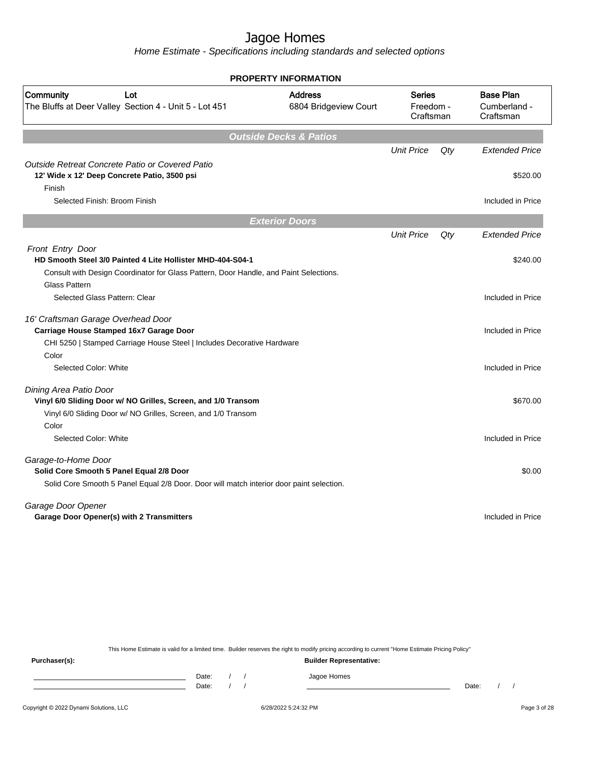Home Estimate - Specifications including standards and selected options

| <b>PROPERTY INFORMATION</b>                                                                               |                                         |                                         |     |                                               |
|-----------------------------------------------------------------------------------------------------------|-----------------------------------------|-----------------------------------------|-----|-----------------------------------------------|
| Community<br>Lot<br>The Bluffs at Deer Valley Section 4 - Unit 5 - Lot 451                                | <b>Address</b><br>6804 Bridgeview Court | <b>Series</b><br>Freedom -<br>Craftsman |     | <b>Base Plan</b><br>Cumberland -<br>Craftsman |
|                                                                                                           | <b>Outside Decks &amp; Patios</b>       |                                         |     |                                               |
|                                                                                                           |                                         | <b>Unit Price</b>                       | Qty | <b>Extended Price</b>                         |
| Outside Retreat Concrete Patio or Covered Patio<br>12' Wide x 12' Deep Concrete Patio, 3500 psi<br>Finish |                                         |                                         |     | \$520.00                                      |
| Selected Finish: Broom Finish                                                                             |                                         |                                         |     | Included in Price                             |
|                                                                                                           | <b>Exterior Doors</b>                   |                                         |     |                                               |
|                                                                                                           |                                         | <b>Unit Price</b>                       | Qty | <b>Extended Price</b>                         |
| Front Entry Door<br>HD Smooth Steel 3/0 Painted 4 Lite Hollister MHD-404-S04-1                            |                                         |                                         |     | \$240.00                                      |
| Consult with Design Coordinator for Glass Pattern, Door Handle, and Paint Selections.                     |                                         |                                         |     |                                               |
| <b>Glass Pattern</b>                                                                                      |                                         |                                         |     |                                               |
| Selected Glass Pattern: Clear                                                                             |                                         |                                         |     | Included in Price                             |
| 16' Craftsman Garage Overhead Door<br>Carriage House Stamped 16x7 Garage Door                             |                                         |                                         |     | Included in Price                             |
| CHI 5250   Stamped Carriage House Steel   Includes Decorative Hardware                                    |                                         |                                         |     |                                               |
| Color                                                                                                     |                                         |                                         |     |                                               |
| Selected Color: White                                                                                     |                                         |                                         |     | Included in Price                             |
| Dining Area Patio Door                                                                                    |                                         |                                         |     |                                               |
| Vinyl 6/0 Sliding Door w/ NO Grilles, Screen, and 1/0 Transom                                             |                                         |                                         |     | \$670.00                                      |
| Vinyl 6/0 Sliding Door w/ NO Grilles, Screen, and 1/0 Transom                                             |                                         |                                         |     |                                               |
| Color                                                                                                     |                                         |                                         |     |                                               |
| Selected Color: White                                                                                     |                                         |                                         |     | Included in Price                             |
| Garage-to-Home Door<br>Solid Core Smooth 5 Panel Equal 2/8 Door                                           |                                         |                                         |     | \$0.00                                        |
| Solid Core Smooth 5 Panel Equal 2/8 Door. Door will match interior door paint selection.                  |                                         |                                         |     |                                               |
|                                                                                                           |                                         |                                         |     |                                               |
| Garage Door Opener                                                                                        |                                         |                                         |     |                                               |
| Garage Door Opener(s) with 2 Transmitters                                                                 |                                         |                                         |     | Included in Price                             |
|                                                                                                           |                                         |                                         |     |                                               |
|                                                                                                           |                                         |                                         |     |                                               |
|                                                                                                           |                                         |                                         |     |                                               |

This Home Estimate is valid for a limited time. Builder reserves the right to modify pricing according to current "Home Estimate Pricing Policy"

**Purchaser(s): Builder Representative:** Date: / / Jagoe Homes<br>Date: / / Jagoe Homes Date: / / **Date: / / 2006** Date: / / / Date: / / /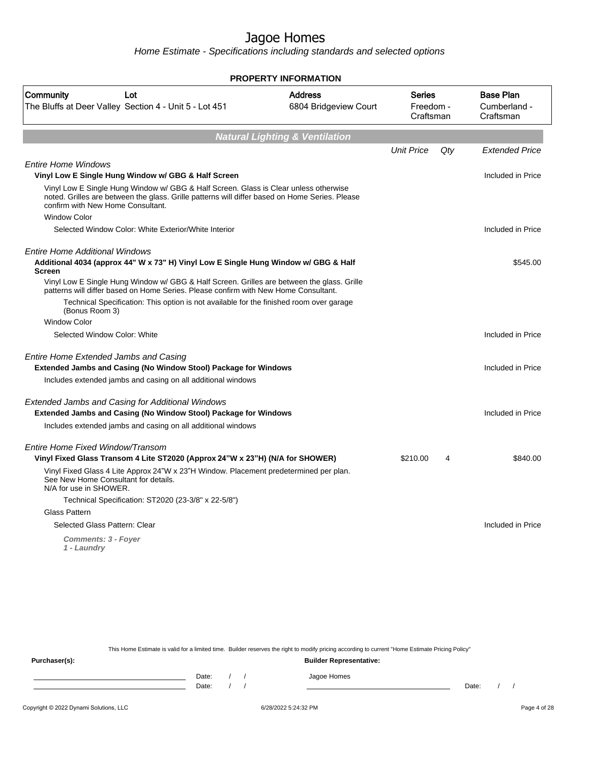Home Estimate - Specifications including standards and selected options

|                                                                                                                                                                                                                             | <b>PROPERTY INFORMATION</b>               |                                  |     |                                               |
|-----------------------------------------------------------------------------------------------------------------------------------------------------------------------------------------------------------------------------|-------------------------------------------|----------------------------------|-----|-----------------------------------------------|
| Community<br>Lot<br>The Bluffs at Deer Valley Section 4 - Unit 5 - Lot 451                                                                                                                                                  | <b>Address</b><br>6804 Bridgeview Court   | Series<br>Freedom -<br>Craftsman |     | <b>Base Plan</b><br>Cumberland -<br>Craftsman |
|                                                                                                                                                                                                                             | <b>Natural Lighting &amp; Ventilation</b> |                                  |     |                                               |
|                                                                                                                                                                                                                             |                                           | <b>Unit Price</b>                | Qty | <b>Extended Price</b>                         |
| <b>Entire Home Windows</b>                                                                                                                                                                                                  |                                           |                                  |     |                                               |
| Vinyl Low E Single Hung Window w/ GBG & Half Screen                                                                                                                                                                         |                                           |                                  |     | Included in Price                             |
| Vinyl Low E Single Hung Window w/ GBG & Half Screen. Glass is Clear unless otherwise<br>noted. Grilles are between the glass. Grille patterns will differ based on Home Series. Please<br>confirm with New Home Consultant. |                                           |                                  |     |                                               |
| <b>Window Color</b>                                                                                                                                                                                                         |                                           |                                  |     |                                               |
| Selected Window Color: White Exterior/White Interior                                                                                                                                                                        |                                           |                                  |     | Included in Price                             |
| <b>Entire Home Additional Windows</b>                                                                                                                                                                                       |                                           |                                  |     |                                               |
| Additional 4034 (approx 44" W x 73" H) Vinyl Low E Single Hung Window w/ GBG & Half<br>Screen                                                                                                                               |                                           |                                  |     | \$545.00                                      |
| Vinyl Low E Single Hung Window w/ GBG & Half Screen. Grilles are between the glass. Grille<br>patterns will differ based on Home Series. Please confirm with New Home Consultant.                                           |                                           |                                  |     |                                               |
| Technical Specification: This option is not available for the finished room over garage<br>(Bonus Room 3)                                                                                                                   |                                           |                                  |     |                                               |
| <b>Window Color</b>                                                                                                                                                                                                         |                                           |                                  |     |                                               |
| Selected Window Color: White                                                                                                                                                                                                |                                           |                                  |     | Included in Price                             |
| Entire Home Extended Jambs and Casing                                                                                                                                                                                       |                                           |                                  |     |                                               |
| Extended Jambs and Casing (No Window Stool) Package for Windows                                                                                                                                                             |                                           |                                  |     | Included in Price                             |
| Includes extended jambs and casing on all additional windows                                                                                                                                                                |                                           |                                  |     |                                               |
| Extended Jambs and Casing for Additional Windows                                                                                                                                                                            |                                           |                                  |     |                                               |
| <b>Extended Jambs and Casing (No Window Stool) Package for Windows</b>                                                                                                                                                      |                                           |                                  |     | Included in Price                             |
| Includes extended jambs and casing on all additional windows                                                                                                                                                                |                                           |                                  |     |                                               |
| Entire Home Fixed Window/Transom                                                                                                                                                                                            |                                           |                                  |     |                                               |
| Vinyl Fixed Glass Transom 4 Lite ST2020 (Approx 24"W x 23"H) (N/A for SHOWER)                                                                                                                                               |                                           | \$210.00                         | 4   | \$840.00                                      |
| Vinyl Fixed Glass 4 Lite Approx 24"W x 23"H Window. Placement predetermined per plan.<br>See New Home Consultant for details.<br>N/A for use in SHOWER.                                                                     |                                           |                                  |     |                                               |
| Technical Specification: ST2020 (23-3/8" x 22-5/8")                                                                                                                                                                         |                                           |                                  |     |                                               |
| Glass Pattern                                                                                                                                                                                                               |                                           |                                  |     |                                               |
| Selected Glass Pattern: Clear                                                                                                                                                                                               |                                           |                                  |     | Included in Price                             |
| <b>Comments: 3 - Foyer</b><br>1 - Laundry                                                                                                                                                                                   |                                           |                                  |     |                                               |

This Home Estimate is valid for a limited time. Builder reserves the right to modify pricing according to current "Home Estimate Pricing Policy"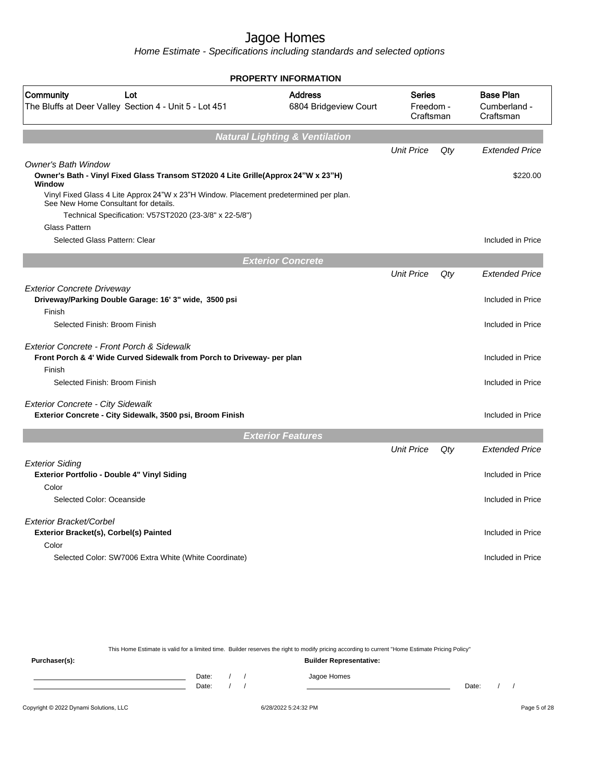Home Estimate - Specifications including standards and selected options

| <b>PROPERTY INFORMATION</b>                                                                                                    |                                           |                                         |     |                                               |
|--------------------------------------------------------------------------------------------------------------------------------|-------------------------------------------|-----------------------------------------|-----|-----------------------------------------------|
| Community<br>Lot<br>The Bluffs at Deer Valley Section 4 - Unit 5 - Lot 451                                                     | <b>Address</b><br>6804 Bridgeview Court   | <b>Series</b><br>Freedom -<br>Craftsman |     | <b>Base Plan</b><br>Cumberland -<br>Craftsman |
|                                                                                                                                | <b>Natural Lighting &amp; Ventilation</b> |                                         |     |                                               |
|                                                                                                                                |                                           | <b>Unit Price</b>                       | Qty | <b>Extended Price</b>                         |
| <b>Owner's Bath Window</b><br>Owner's Bath - Vinyl Fixed Glass Transom ST2020 4 Lite Grille(Approx 24"W x 23"H)<br>Window      |                                           |                                         |     | \$220.00                                      |
| Vinyl Fixed Glass 4 Lite Approx 24"W x 23"H Window. Placement predetermined per plan.<br>See New Home Consultant for details.  |                                           |                                         |     |                                               |
| Technical Specification: V57ST2020 (23-3/8" x 22-5/8")<br><b>Glass Pattern</b>                                                 |                                           |                                         |     |                                               |
| Selected Glass Pattern: Clear                                                                                                  |                                           |                                         |     | Included in Price                             |
|                                                                                                                                | <b>Exterior Concrete</b>                  |                                         |     |                                               |
|                                                                                                                                |                                           | <b>Unit Price</b>                       | Qty | <b>Extended Price</b>                         |
| <b>Exterior Concrete Driveway</b><br>Driveway/Parking Double Garage: 16' 3" wide, 3500 psi                                     |                                           |                                         |     | Included in Price                             |
| Finish                                                                                                                         |                                           |                                         |     |                                               |
| Selected Finish: Broom Finish                                                                                                  |                                           |                                         |     | Included in Price                             |
| Exterior Concrete - Front Porch & Sidewalk<br>Front Porch & 4' Wide Curved Sidewalk from Porch to Driveway- per plan<br>Finish |                                           |                                         |     | Included in Price                             |
| Selected Finish: Broom Finish                                                                                                  |                                           |                                         |     | Included in Price                             |
| <b>Exterior Concrete - City Sidewalk</b><br>Exterior Concrete - City Sidewalk, 3500 psi, Broom Finish                          |                                           |                                         |     | Included in Price                             |
|                                                                                                                                | <b>Exterior Features</b>                  |                                         |     |                                               |
|                                                                                                                                |                                           | <b>Unit Price</b>                       | Qty | <b>Extended Price</b>                         |
| <b>Exterior Siding</b>                                                                                                         |                                           |                                         |     |                                               |
| Exterior Portfolio - Double 4" Vinyl Siding                                                                                    |                                           |                                         |     | Included in Price                             |
| Color                                                                                                                          |                                           |                                         |     |                                               |
| Selected Color: Oceanside                                                                                                      |                                           |                                         |     | Included in Price                             |
| Exterior Bracket/Corbel                                                                                                        |                                           |                                         |     |                                               |
| Exterior Bracket(s), Corbel(s) Painted                                                                                         |                                           |                                         |     | Included in Price                             |
| Color<br>Selected Color: SW7006 Extra White (White Coordinate)                                                                 |                                           |                                         |     | Included in Price                             |
|                                                                                                                                |                                           |                                         |     |                                               |

This Home Estimate is valid for a limited time. Builder reserves the right to modify pricing according to current "Home Estimate Pricing Policy" **Purchaser(s): Builder Representative:** Date: / / Jagoe Homes<br>Date: / / Jagoe Homes Date: / / **Date: / / 2006** Date: / / / Date: / / /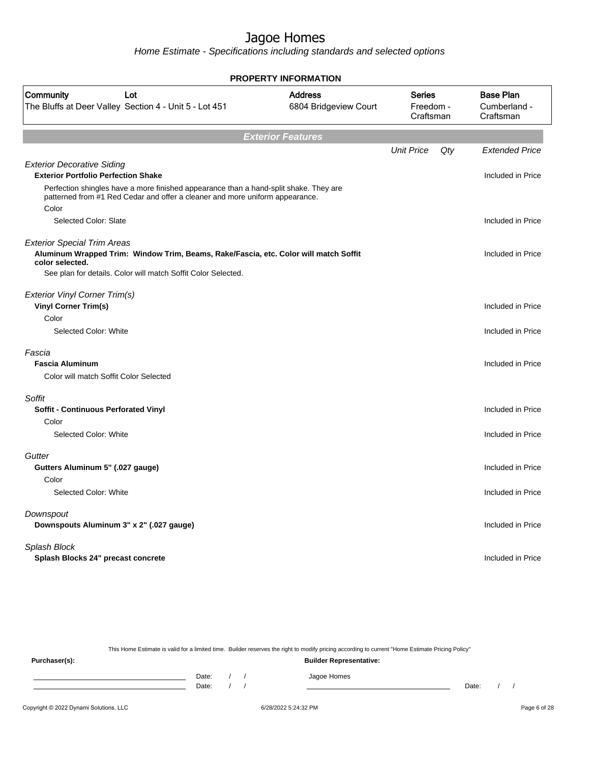Home Estimate - Specifications including standards and selected options

| <b>PROPERTY INFORMATION</b>                                                                                                                                                    |                                         |                                         |     |                                               |  |  |  |  |
|--------------------------------------------------------------------------------------------------------------------------------------------------------------------------------|-----------------------------------------|-----------------------------------------|-----|-----------------------------------------------|--|--|--|--|
| Community<br>Lot<br>The Bluffs at Deer Valley Section 4 - Unit 5 - Lot 451                                                                                                     | <b>Address</b><br>6804 Bridgeview Court | <b>Series</b><br>Freedom -<br>Craftsman |     | <b>Base Plan</b><br>Cumberland -<br>Craftsman |  |  |  |  |
|                                                                                                                                                                                | <b>Exterior Features</b>                |                                         |     |                                               |  |  |  |  |
|                                                                                                                                                                                |                                         | <b>Unit Price</b>                       | Qty | <b>Extended Price</b>                         |  |  |  |  |
| <b>Exterior Decorative Siding</b><br><b>Exterior Portfolio Perfection Shake</b>                                                                                                |                                         |                                         |     | Included in Price                             |  |  |  |  |
| Perfection shingles have a more finished appearance than a hand-split shake. They are<br>patterned from #1 Red Cedar and offer a cleaner and more uniform appearance.<br>Color |                                         |                                         |     |                                               |  |  |  |  |
| Selected Color: Slate                                                                                                                                                          |                                         |                                         |     | Included in Price                             |  |  |  |  |
| <b>Exterior Special Trim Areas</b><br>Aluminum Wrapped Trim: Window Trim, Beams, Rake/Fascia, etc. Color will match Soffit<br>color selected.                                  |                                         |                                         |     | Included in Price                             |  |  |  |  |
| See plan for details. Color will match Soffit Color Selected.                                                                                                                  |                                         |                                         |     |                                               |  |  |  |  |
| <b>Exterior Vinyl Corner Trim(s)</b><br><b>Vinyl Corner Trim(s)</b>                                                                                                            |                                         |                                         |     | Included in Price                             |  |  |  |  |
| Color                                                                                                                                                                          |                                         |                                         |     |                                               |  |  |  |  |
| Selected Color: White                                                                                                                                                          |                                         |                                         |     | Included in Price                             |  |  |  |  |
| Fascia<br><b>Fascia Aluminum</b><br>Color will match Soffit Color Selected                                                                                                     |                                         |                                         |     | Included in Price                             |  |  |  |  |
| Soffit                                                                                                                                                                         |                                         |                                         |     |                                               |  |  |  |  |
| <b>Soffit - Continuous Perforated Vinyl</b>                                                                                                                                    |                                         |                                         |     | Included in Price                             |  |  |  |  |
| Color                                                                                                                                                                          |                                         |                                         |     |                                               |  |  |  |  |
| Selected Color: White                                                                                                                                                          |                                         |                                         |     | Included in Price                             |  |  |  |  |
| Gutter<br>Gutters Aluminum 5" (.027 gauge)                                                                                                                                     |                                         |                                         |     | Included in Price                             |  |  |  |  |
| Color                                                                                                                                                                          |                                         |                                         |     |                                               |  |  |  |  |
| Selected Color: White                                                                                                                                                          |                                         |                                         |     | Included in Price                             |  |  |  |  |
| Downspout<br>Downspouts Aluminum 3" x 2" (.027 gauge)                                                                                                                          |                                         |                                         |     | Included in Price                             |  |  |  |  |
| Splash Block<br>Splash Blocks 24" precast concrete                                                                                                                             |                                         |                                         |     | Included in Price                             |  |  |  |  |
|                                                                                                                                                                                |                                         |                                         |     |                                               |  |  |  |  |

This Home Estimate is valid for a limited time. Builder reserves the right to modify pricing according to current "Home Estimate Pricing Policy" **Purchaser(s): Builder Representative:** Date: / / Jagoe Homes<br>Date: / / Jagoe Homes Date: / / **Date: / / 2006** Date: / / / Date: / / /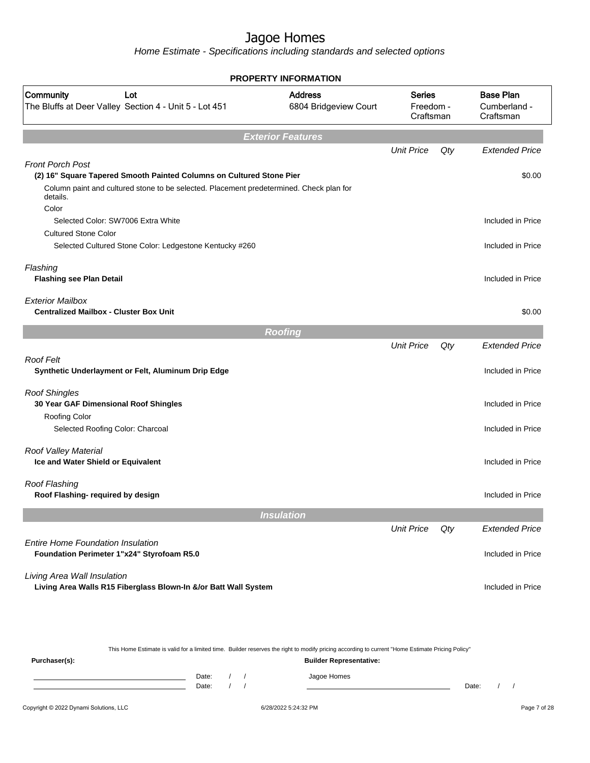Home Estimate - Specifications including standards and selected options

| <b>PROPERTY INFORMATION</b>                                                                         |                                         |                                         |     |                                               |  |
|-----------------------------------------------------------------------------------------------------|-----------------------------------------|-----------------------------------------|-----|-----------------------------------------------|--|
| Community<br>Lot<br>The Bluffs at Deer Valley Section 4 - Unit 5 - Lot 451                          | <b>Address</b><br>6804 Bridgeview Court | <b>Series</b><br>Freedom -<br>Craftsman |     | <b>Base Plan</b><br>Cumberland -<br>Craftsman |  |
|                                                                                                     | <b>Exterior Features</b>                |                                         |     |                                               |  |
|                                                                                                     |                                         | <b>Unit Price</b>                       | Qty | <b>Extended Price</b>                         |  |
| <b>Front Porch Post</b><br>(2) 16" Square Tapered Smooth Painted Columns on Cultured Stone Pier     |                                         |                                         |     | \$0.00                                        |  |
| Column paint and cultured stone to be selected. Placement predetermined. Check plan for<br>details. |                                         |                                         |     |                                               |  |
| Color                                                                                               |                                         |                                         |     |                                               |  |
| Selected Color: SW7006 Extra White                                                                  |                                         |                                         |     | Included in Price                             |  |
| <b>Cultured Stone Color</b>                                                                         |                                         |                                         |     |                                               |  |
| Selected Cultured Stone Color: Ledgestone Kentucky #260                                             |                                         |                                         |     | Included in Price                             |  |
| Flashing<br><b>Flashing see Plan Detail</b>                                                         |                                         |                                         |     | Included in Price                             |  |
| <b>Exterior Mailbox</b><br><b>Centralized Mailbox - Cluster Box Unit</b>                            |                                         |                                         |     | \$0.00                                        |  |
|                                                                                                     | <b>Roofing</b>                          |                                         |     |                                               |  |
|                                                                                                     |                                         | <b>Unit Price</b>                       | Qty | <b>Extended Price</b>                         |  |
| Roof Felt<br>Synthetic Underlayment or Felt, Aluminum Drip Edge                                     |                                         |                                         |     | Included in Price                             |  |
| <b>Roof Shingles</b><br>30 Year GAF Dimensional Roof Shingles                                       |                                         |                                         |     | Included in Price                             |  |
| Roofing Color<br>Selected Roofing Color: Charcoal                                                   |                                         |                                         |     | Included in Price                             |  |
| Roof Valley Material<br>Ice and Water Shield or Equivalent                                          |                                         |                                         |     | Included in Price                             |  |
| Roof Flashing<br>Roof Flashing- required by design                                                  |                                         |                                         |     | Included in Price                             |  |
|                                                                                                     | <b>Insulation</b>                       |                                         |     |                                               |  |
|                                                                                                     |                                         | <b>Unit Price</b>                       | Qty | <b>Extended Price</b>                         |  |
| <b>Entire Home Foundation Insulation</b><br>Foundation Perimeter 1"x24" Styrofoam R5.0              |                                         |                                         |     | Included in Price                             |  |
| Living Area Wall Insulation<br>Living Area Walls R15 Fiberglass Blown-In &/or Batt Wall System      |                                         |                                         |     | Included in Price                             |  |
|                                                                                                     |                                         |                                         |     |                                               |  |

This Home Estimate is valid for a limited time. Builder reserves the right to modify pricing according to current "Home Estimate Pricing Policy" **Purchaser(s): Builder Representative:** Date: / / Jagoe Homes<br>Date: / / Jagoe Homes Date: / / Date: / /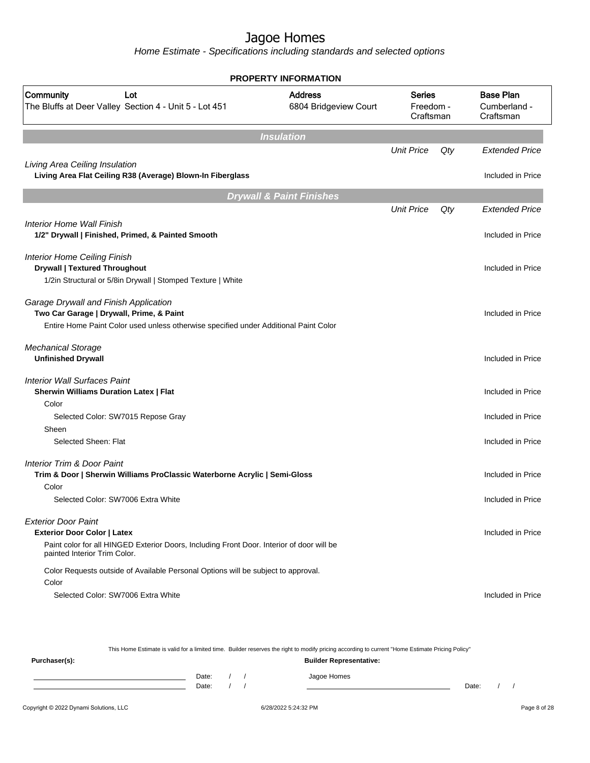Home Estimate - Specifications including standards and selected options

|                                                                                                                           | <b>PROPERTY INFORMATION</b>             |                                         |     |                                               |
|---------------------------------------------------------------------------------------------------------------------------|-----------------------------------------|-----------------------------------------|-----|-----------------------------------------------|
| Community<br>Lot<br>The Bluffs at Deer Valley Section 4 - Unit 5 - Lot 451                                                | <b>Address</b><br>6804 Bridgeview Court | <b>Series</b><br>Freedom -<br>Craftsman |     | <b>Base Plan</b><br>Cumberland -<br>Craftsman |
|                                                                                                                           | <b>Insulation</b>                       |                                         |     |                                               |
|                                                                                                                           |                                         | <b>Unit Price</b>                       | Qty | <b>Extended Price</b>                         |
| Living Area Ceiling Insulation<br>Living Area Flat Ceiling R38 (Average) Blown-In Fiberglass                              |                                         |                                         |     | Included in Price                             |
|                                                                                                                           | <b>Drywall &amp; Paint Finishes</b>     |                                         |     |                                               |
|                                                                                                                           |                                         | <b>Unit Price</b>                       | Qty | <b>Extended Price</b>                         |
| Interior Home Wall Finish                                                                                                 |                                         |                                         |     |                                               |
| 1/2" Drywall   Finished, Primed, & Painted Smooth                                                                         |                                         |                                         |     | Included in Price                             |
|                                                                                                                           |                                         |                                         |     |                                               |
| Interior Home Ceiling Finish                                                                                              |                                         |                                         |     |                                               |
| <b>Drywall   Textured Throughout</b>                                                                                      |                                         |                                         |     | Included in Price                             |
| 1/2in Structural or 5/8in Drywall   Stomped Texture   White                                                               |                                         |                                         |     |                                               |
|                                                                                                                           |                                         |                                         |     |                                               |
| Garage Drywall and Finish Application                                                                                     |                                         |                                         |     |                                               |
| Two Car Garage   Drywall, Prime, & Paint                                                                                  |                                         |                                         |     | Included in Price                             |
| Entire Home Paint Color used unless otherwise specified under Additional Paint Color                                      |                                         |                                         |     |                                               |
| <b>Mechanical Storage</b><br><b>Unfinished Drywall</b>                                                                    |                                         |                                         |     | Included in Price                             |
|                                                                                                                           |                                         |                                         |     |                                               |
| <b>Interior Wall Surfaces Paint</b>                                                                                       |                                         |                                         |     |                                               |
| <b>Sherwin Williams Duration Latex   Flat</b>                                                                             |                                         |                                         |     | Included in Price                             |
| Color                                                                                                                     |                                         |                                         |     |                                               |
| Selected Color: SW7015 Repose Gray                                                                                        |                                         |                                         |     | Included in Price                             |
| Sheen                                                                                                                     |                                         |                                         |     |                                               |
| Selected Sheen: Flat                                                                                                      |                                         |                                         |     | Included in Price                             |
| <b>Interior Trim &amp; Door Paint</b>                                                                                     |                                         |                                         |     |                                               |
| Trim & Door   Sherwin Williams ProClassic Waterborne Acrylic   Semi-Gloss                                                 |                                         |                                         |     | Included in Price                             |
| Color                                                                                                                     |                                         |                                         |     |                                               |
| Selected Color: SW7006 Extra White                                                                                        |                                         |                                         |     | Included in Price                             |
|                                                                                                                           |                                         |                                         |     |                                               |
| <b>Exterior Door Paint</b>                                                                                                |                                         |                                         |     |                                               |
| <b>Exterior Door Color   Latex</b>                                                                                        |                                         |                                         |     | Included in Price                             |
| Paint color for all HINGED Exterior Doors, Including Front Door. Interior of door will be<br>painted Interior Trim Color. |                                         |                                         |     |                                               |
| Color Requests outside of Available Personal Options will be subject to approval.                                         |                                         |                                         |     |                                               |
| Color                                                                                                                     |                                         |                                         |     |                                               |
| Selected Color: SW7006 Extra White                                                                                        |                                         |                                         |     | Included in Price                             |
|                                                                                                                           |                                         |                                         |     |                                               |

This Home Estimate is valid for a limited time. Builder reserves the right to modify pricing according to current "Home Estimate Pricing Policy"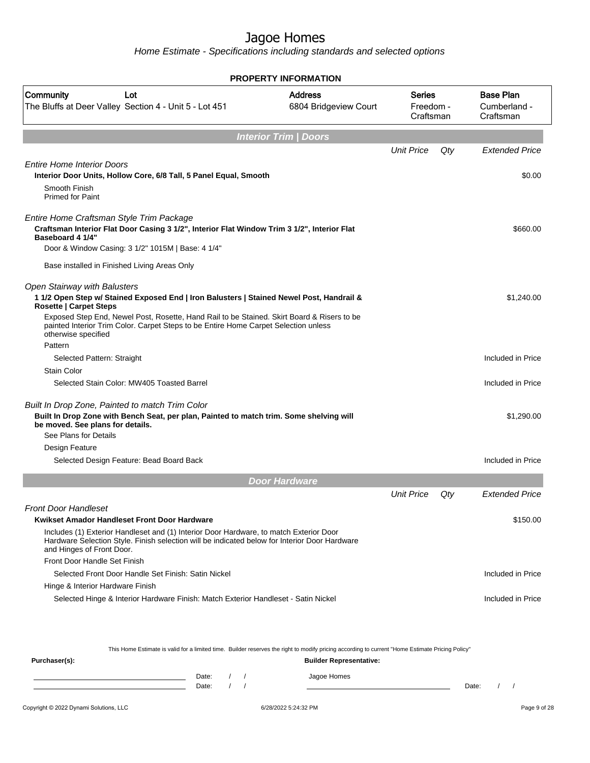Home Estimate - Specifications including standards and selected options

|                                                                                                                                                                                                                      | <b>PROPERTY INFORMATION</b>      |                                         |     |                                               |
|----------------------------------------------------------------------------------------------------------------------------------------------------------------------------------------------------------------------|----------------------------------|-----------------------------------------|-----|-----------------------------------------------|
| Community<br>Lot<br>The Bluffs at Deer Valley Section 4 - Unit 5 - Lot 451                                                                                                                                           | Address<br>6804 Bridgeview Court | <b>Series</b><br>Freedom -<br>Craftsman |     | <b>Base Plan</b><br>Cumberland -<br>Craftsman |
|                                                                                                                                                                                                                      | <b>Interior Trim / Doors</b>     |                                         |     |                                               |
|                                                                                                                                                                                                                      |                                  | <b>Unit Price</b>                       | Qty | <b>Extended Price</b>                         |
| <b>Entire Home Interior Doors</b>                                                                                                                                                                                    |                                  |                                         |     |                                               |
| Interior Door Units, Hollow Core, 6/8 Tall, 5 Panel Equal, Smooth                                                                                                                                                    |                                  |                                         |     | \$0.00                                        |
| Smooth Finish<br><b>Primed for Paint</b>                                                                                                                                                                             |                                  |                                         |     |                                               |
| Entire Home Craftsman Style Trim Package                                                                                                                                                                             |                                  |                                         |     |                                               |
| Craftsman Interior Flat Door Casing 3 1/2", Interior Flat Window Trim 3 1/2", Interior Flat<br>Baseboard 4 1/4"                                                                                                      |                                  |                                         |     | \$660.00                                      |
| Door & Window Casing: 3 1/2" 1015M   Base: 4 1/4"                                                                                                                                                                    |                                  |                                         |     |                                               |
| Base installed in Finished Living Areas Only                                                                                                                                                                         |                                  |                                         |     |                                               |
| Open Stairway with Balusters<br>1 1/2 Open Step w/ Stained Exposed End   Iron Balusters   Stained Newel Post, Handrail &<br><b>Rosette   Carpet Steps</b>                                                            |                                  |                                         |     | \$1,240.00                                    |
| Exposed Step End, Newel Post, Rosette, Hand Rail to be Stained. Skirt Board & Risers to be<br>painted Interior Trim Color. Carpet Steps to be Entire Home Carpet Selection unless<br>otherwise specified             |                                  |                                         |     |                                               |
| Pattern                                                                                                                                                                                                              |                                  |                                         |     |                                               |
| Selected Pattern: Straight                                                                                                                                                                                           |                                  |                                         |     | Included in Price                             |
| <b>Stain Color</b>                                                                                                                                                                                                   |                                  |                                         |     |                                               |
| Selected Stain Color: MW405 Toasted Barrel                                                                                                                                                                           |                                  |                                         |     | Included in Price                             |
| Built In Drop Zone, Painted to match Trim Color<br>Built In Drop Zone with Bench Seat, per plan, Painted to match trim. Some shelving will<br>be moved. See plans for details.<br>See Plans for Details              |                                  |                                         |     | \$1,290.00                                    |
| Design Feature                                                                                                                                                                                                       |                                  |                                         |     |                                               |
| Selected Design Feature: Bead Board Back                                                                                                                                                                             |                                  |                                         |     | Included in Price                             |
|                                                                                                                                                                                                                      | <b>Door Hardware</b>             |                                         |     |                                               |
|                                                                                                                                                                                                                      |                                  | <b>Unit Price</b>                       | Qty | Extended Price                                |
| <b>Front Door Handleset</b>                                                                                                                                                                                          |                                  |                                         |     |                                               |
| Kwikset Amador Handleset Front Door Hardware                                                                                                                                                                         |                                  |                                         |     | \$150.00                                      |
| Includes (1) Exterior Handleset and (1) Interior Door Hardware, to match Exterior Door<br>Hardware Selection Style. Finish selection will be indicated below for Interior Door Hardware<br>and Hinges of Front Door. |                                  |                                         |     |                                               |
| Front Door Handle Set Finish                                                                                                                                                                                         |                                  |                                         |     |                                               |
| Selected Front Door Handle Set Finish: Satin Nickel                                                                                                                                                                  |                                  |                                         |     | Included in Price                             |
| Hinge & Interior Hardware Finish                                                                                                                                                                                     |                                  |                                         |     |                                               |
| Selected Hinge & Interior Hardware Finish: Match Exterior Handleset - Satin Nickel                                                                                                                                   |                                  |                                         |     | Included in Price                             |
|                                                                                                                                                                                                                      |                                  |                                         |     |                                               |

This Home Estimate is valid for a limited time. Builder reserves the right to modify pricing according to current "Home Estimate Pricing Policy"

| Purchaser(s): |                |  | <b>Builder Representative:</b> |       |  |
|---------------|----------------|--|--------------------------------|-------|--|
|               | Date:<br>Date: |  | Jagoe Homes                    | Date: |  |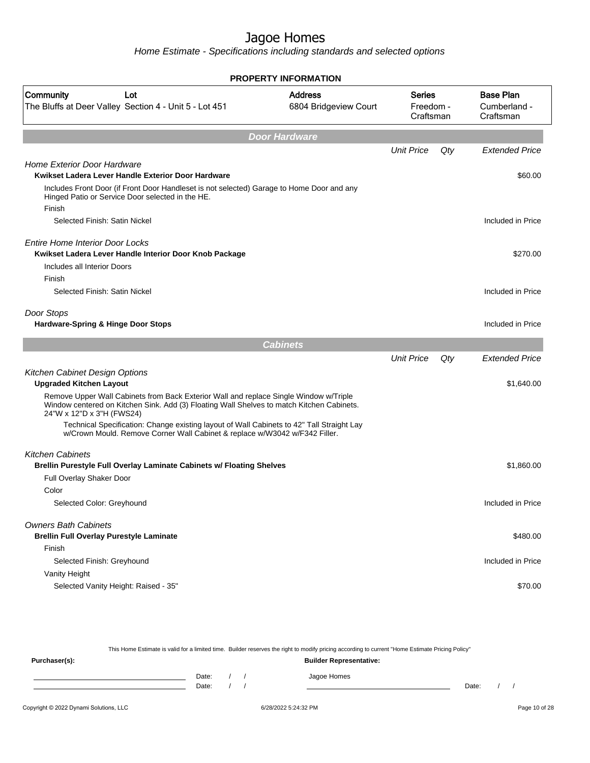Home Estimate - Specifications including standards and selected options

|                                                                                                                                                                                                                 | <b>PROPERTY INFORMATION</b>             |                                         |     |                                               |
|-----------------------------------------------------------------------------------------------------------------------------------------------------------------------------------------------------------------|-----------------------------------------|-----------------------------------------|-----|-----------------------------------------------|
| Community<br>Lot<br>The Bluffs at Deer Valley Section 4 - Unit 5 - Lot 451                                                                                                                                      | <b>Address</b><br>6804 Bridgeview Court | <b>Series</b><br>Freedom -<br>Craftsman |     | <b>Base Plan</b><br>Cumberland -<br>Craftsman |
|                                                                                                                                                                                                                 | Door Hardware                           |                                         |     |                                               |
|                                                                                                                                                                                                                 |                                         | <b>Unit Price</b>                       | Qty | <b>Extended Price</b>                         |
| <b>Home Exterior Door Hardware</b>                                                                                                                                                                              |                                         |                                         |     |                                               |
| Kwikset Ladera Lever Handle Exterior Door Hardware                                                                                                                                                              |                                         |                                         |     | \$60.00                                       |
| Includes Front Door (if Front Door Handleset is not selected) Garage to Home Door and any<br>Hinged Patio or Service Door selected in the HE.                                                                   |                                         |                                         |     |                                               |
| Finish<br>Selected Finish: Satin Nickel                                                                                                                                                                         |                                         |                                         |     | Included in Price                             |
|                                                                                                                                                                                                                 |                                         |                                         |     |                                               |
| <b>Entire Home Interior Door Locks</b>                                                                                                                                                                          |                                         |                                         |     |                                               |
| Kwikset Ladera Lever Handle Interior Door Knob Package                                                                                                                                                          |                                         |                                         |     | \$270.00                                      |
| Includes all Interior Doors                                                                                                                                                                                     |                                         |                                         |     |                                               |
| Finish                                                                                                                                                                                                          |                                         |                                         |     |                                               |
| Selected Finish: Satin Nickel                                                                                                                                                                                   |                                         |                                         |     | Included in Price                             |
| Door Stops                                                                                                                                                                                                      |                                         |                                         |     |                                               |
| Hardware-Spring & Hinge Door Stops                                                                                                                                                                              |                                         |                                         |     | Included in Price                             |
|                                                                                                                                                                                                                 | <b>Cabinets</b>                         |                                         |     |                                               |
|                                                                                                                                                                                                                 |                                         | <b>Unit Price</b>                       | Qty | <b>Extended Price</b>                         |
| Kitchen Cabinet Design Options                                                                                                                                                                                  |                                         |                                         |     |                                               |
| <b>Upgraded Kitchen Layout</b>                                                                                                                                                                                  |                                         |                                         |     | \$1,640.00                                    |
| Remove Upper Wall Cabinets from Back Exterior Wall and replace Single Window w/Triple<br>Window centered on Kitchen Sink. Add (3) Floating Wall Shelves to match Kitchen Cabinets.<br>24"W x 12"D x 3"H (FWS24) |                                         |                                         |     |                                               |
| Technical Specification: Change existing layout of Wall Cabinets to 42" Tall Straight Lay<br>w/Crown Mould. Remove Corner Wall Cabinet & replace w/W3042 w/F342 Filler.                                         |                                         |                                         |     |                                               |
| <b>Kitchen Cabinets</b>                                                                                                                                                                                         |                                         |                                         |     |                                               |
| Brellin Purestyle Full Overlay Laminate Cabinets w/ Floating Shelves                                                                                                                                            |                                         |                                         |     | \$1,860.00                                    |
| Full Overlay Shaker Door                                                                                                                                                                                        |                                         |                                         |     |                                               |
| Color                                                                                                                                                                                                           |                                         |                                         |     |                                               |
| Selected Color: Greyhound                                                                                                                                                                                       |                                         |                                         |     | Included in Price                             |
| <b>Owners Bath Cabinets</b><br><b>Brellin Full Overlay Purestyle Laminate</b>                                                                                                                                   |                                         |                                         |     | \$480.00                                      |
| Finish                                                                                                                                                                                                          |                                         |                                         |     |                                               |
| Selected Finish: Greyhound                                                                                                                                                                                      |                                         |                                         |     | Included in Price                             |
| Vanity Height                                                                                                                                                                                                   |                                         |                                         |     |                                               |
| Selected Vanity Height: Raised - 35"                                                                                                                                                                            |                                         |                                         |     | \$70.00                                       |
|                                                                                                                                                                                                                 |                                         |                                         |     |                                               |

This Home Estimate is valid for a limited time. Builder reserves the right to modify pricing according to current "Home Estimate Pricing Policy" **Purchaser(s): Builder Representative:** Date: / / Jagoe Homes<br>Date: / / Jagoe Homes Date: / / Date: / /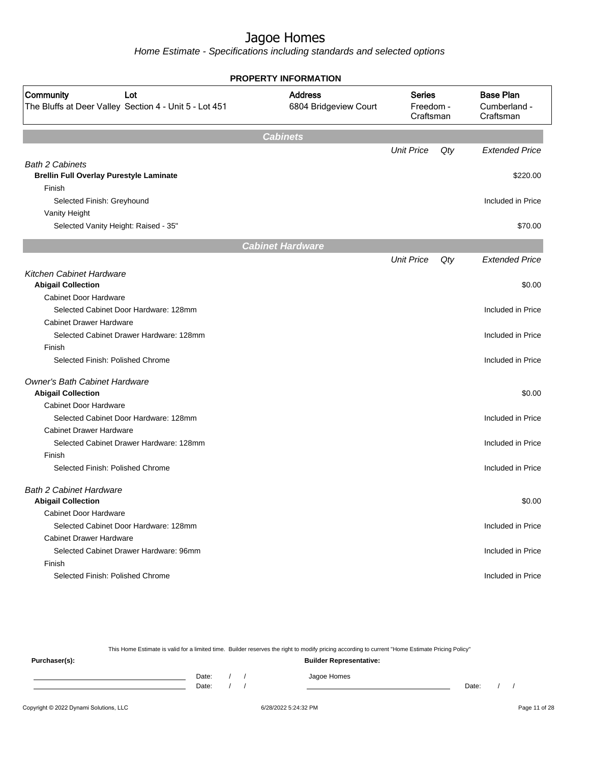Home Estimate - Specifications including standards and selected options

| <b>PROPERTY INFORMATION</b>                                                |                                         |                                         |     |                       |  |                                               |  |  |
|----------------------------------------------------------------------------|-----------------------------------------|-----------------------------------------|-----|-----------------------|--|-----------------------------------------------|--|--|
| Community<br>Lot<br>The Bluffs at Deer Valley Section 4 - Unit 5 - Lot 451 | <b>Address</b><br>6804 Bridgeview Court | <b>Series</b><br>Freedom -<br>Craftsman |     |                       |  | <b>Base Plan</b><br>Cumberland -<br>Craftsman |  |  |
|                                                                            | <b>Cabinets</b>                         |                                         |     |                       |  |                                               |  |  |
|                                                                            |                                         | <b>Unit Price</b>                       | Qty | <b>Extended Price</b> |  |                                               |  |  |
| <b>Bath 2 Cabinets</b>                                                     |                                         |                                         |     |                       |  |                                               |  |  |
| <b>Brellin Full Overlay Purestyle Laminate</b>                             |                                         |                                         |     | \$220.00              |  |                                               |  |  |
| Finish                                                                     |                                         |                                         |     |                       |  |                                               |  |  |
| Selected Finish: Greyhound                                                 |                                         |                                         |     | Included in Price     |  |                                               |  |  |
| Vanity Height                                                              |                                         |                                         |     |                       |  |                                               |  |  |
| Selected Vanity Height: Raised - 35"                                       |                                         |                                         |     | \$70.00               |  |                                               |  |  |
|                                                                            | <b>Cabinet Hardware</b>                 |                                         |     |                       |  |                                               |  |  |
|                                                                            |                                         | <b>Unit Price</b>                       | Qty | <b>Extended Price</b> |  |                                               |  |  |
| Kitchen Cabinet Hardware                                                   |                                         |                                         |     |                       |  |                                               |  |  |
| <b>Abigail Collection</b>                                                  |                                         |                                         |     | \$0.00                |  |                                               |  |  |
| Cabinet Door Hardware                                                      |                                         |                                         |     |                       |  |                                               |  |  |
| Selected Cabinet Door Hardware: 128mm                                      |                                         |                                         |     | Included in Price     |  |                                               |  |  |
| <b>Cabinet Drawer Hardware</b>                                             |                                         |                                         |     |                       |  |                                               |  |  |
| Selected Cabinet Drawer Hardware: 128mm                                    |                                         |                                         |     | Included in Price     |  |                                               |  |  |
| Finish                                                                     |                                         |                                         |     |                       |  |                                               |  |  |
| Selected Finish: Polished Chrome                                           |                                         |                                         |     | Included in Price     |  |                                               |  |  |
| <b>Owner's Bath Cabinet Hardware</b>                                       |                                         |                                         |     |                       |  |                                               |  |  |
| <b>Abigail Collection</b>                                                  |                                         |                                         |     | \$0.00                |  |                                               |  |  |
| <b>Cabinet Door Hardware</b>                                               |                                         |                                         |     |                       |  |                                               |  |  |
| Selected Cabinet Door Hardware: 128mm                                      |                                         |                                         |     | Included in Price     |  |                                               |  |  |
| <b>Cabinet Drawer Hardware</b>                                             |                                         |                                         |     |                       |  |                                               |  |  |
| Selected Cabinet Drawer Hardware: 128mm                                    |                                         |                                         |     | Included in Price     |  |                                               |  |  |
| Finish                                                                     |                                         |                                         |     |                       |  |                                               |  |  |
| Selected Finish: Polished Chrome                                           |                                         |                                         |     | Included in Price     |  |                                               |  |  |
| <b>Bath 2 Cabinet Hardware</b>                                             |                                         |                                         |     |                       |  |                                               |  |  |
| <b>Abigail Collection</b>                                                  |                                         |                                         |     | \$0.00                |  |                                               |  |  |
| <b>Cabinet Door Hardware</b>                                               |                                         |                                         |     |                       |  |                                               |  |  |
| Selected Cabinet Door Hardware: 128mm                                      |                                         |                                         |     | Included in Price     |  |                                               |  |  |
| <b>Cabinet Drawer Hardware</b>                                             |                                         |                                         |     |                       |  |                                               |  |  |
| Selected Cabinet Drawer Hardware: 96mm                                     |                                         |                                         |     | Included in Price     |  |                                               |  |  |
| Finish                                                                     |                                         |                                         |     |                       |  |                                               |  |  |
| Selected Finish: Polished Chrome                                           |                                         |                                         |     | Included in Price     |  |                                               |  |  |
|                                                                            |                                         |                                         |     |                       |  |                                               |  |  |

This Home Estimate is valid for a limited time. Builder reserves the right to modify pricing according to current "Home Estimate Pricing Policy"

| Purchaser(s): |                |  | <b>Builder Representative:</b> |       |  |
|---------------|----------------|--|--------------------------------|-------|--|
|               | Date:<br>Date: |  | Jagoe Homes                    | Date: |  |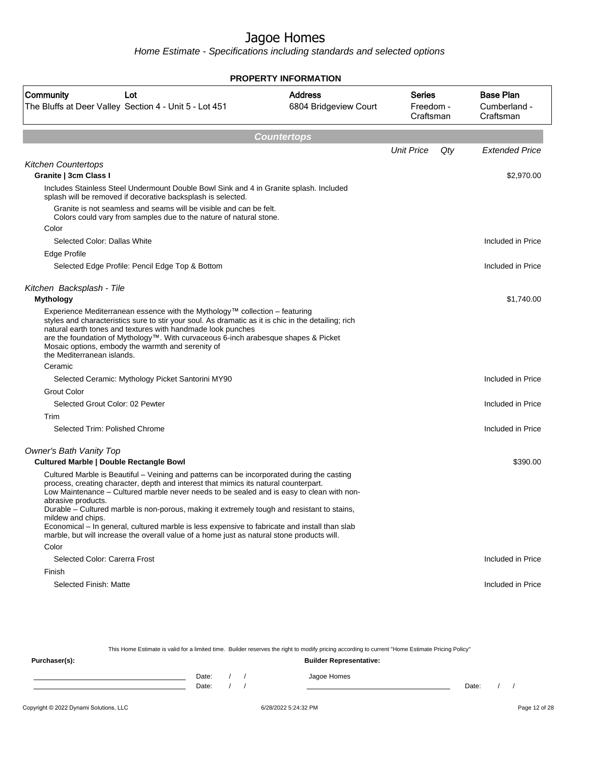Home Estimate - Specifications including standards and selected options

|                                                                                                                                                                                                                                                                                                                                                                                                                                                                                                                                                                                                                          | <b>PROPERTY INFORMATION</b>             |                                         |     |                                               |
|--------------------------------------------------------------------------------------------------------------------------------------------------------------------------------------------------------------------------------------------------------------------------------------------------------------------------------------------------------------------------------------------------------------------------------------------------------------------------------------------------------------------------------------------------------------------------------------------------------------------------|-----------------------------------------|-----------------------------------------|-----|-----------------------------------------------|
| Community<br>Lot<br>The Bluffs at Deer Valley Section 4 - Unit 5 - Lot 451                                                                                                                                                                                                                                                                                                                                                                                                                                                                                                                                               | <b>Address</b><br>6804 Bridgeview Court | <b>Series</b><br>Freedom -<br>Craftsman |     | <b>Base Plan</b><br>Cumberland -<br>Craftsman |
|                                                                                                                                                                                                                                                                                                                                                                                                                                                                                                                                                                                                                          | <b>Countertops</b>                      |                                         |     |                                               |
|                                                                                                                                                                                                                                                                                                                                                                                                                                                                                                                                                                                                                          |                                         | <b>Unit Price</b>                       | Qty | <b>Extended Price</b>                         |
| <b>Kitchen Countertops</b><br>Granite   3cm Class I                                                                                                                                                                                                                                                                                                                                                                                                                                                                                                                                                                      |                                         |                                         |     | \$2,970.00                                    |
| Includes Stainless Steel Undermount Double Bowl Sink and 4 in Granite splash. Included<br>splash will be removed if decorative backsplash is selected.                                                                                                                                                                                                                                                                                                                                                                                                                                                                   |                                         |                                         |     |                                               |
| Granite is not seamless and seams will be visible and can be felt.<br>Colors could vary from samples due to the nature of natural stone.                                                                                                                                                                                                                                                                                                                                                                                                                                                                                 |                                         |                                         |     |                                               |
| Color                                                                                                                                                                                                                                                                                                                                                                                                                                                                                                                                                                                                                    |                                         |                                         |     |                                               |
| Selected Color: Dallas White                                                                                                                                                                                                                                                                                                                                                                                                                                                                                                                                                                                             |                                         |                                         |     | Included in Price                             |
| Edge Profile                                                                                                                                                                                                                                                                                                                                                                                                                                                                                                                                                                                                             |                                         |                                         |     |                                               |
| Selected Edge Profile: Pencil Edge Top & Bottom                                                                                                                                                                                                                                                                                                                                                                                                                                                                                                                                                                          |                                         |                                         |     | Included in Price                             |
| Kitchen Backsplash - Tile                                                                                                                                                                                                                                                                                                                                                                                                                                                                                                                                                                                                |                                         |                                         |     |                                               |
| <b>Mythology</b>                                                                                                                                                                                                                                                                                                                                                                                                                                                                                                                                                                                                         |                                         |                                         |     | \$1,740.00                                    |
| Experience Mediterranean essence with the Mythology™ collection – featuring<br>styles and characteristics sure to stir your soul. As dramatic as it is chic in the detailing; rich<br>natural earth tones and textures with handmade look punches<br>are the foundation of Mythology™. With curvaceous 6-inch arabesque shapes & Picket<br>Mosaic options, embody the warmth and serenity of<br>the Mediterranean islands.                                                                                                                                                                                               |                                         |                                         |     |                                               |
| Ceramic                                                                                                                                                                                                                                                                                                                                                                                                                                                                                                                                                                                                                  |                                         |                                         |     |                                               |
| Selected Ceramic: Mythology Picket Santorini MY90                                                                                                                                                                                                                                                                                                                                                                                                                                                                                                                                                                        |                                         |                                         |     | Included in Price                             |
| <b>Grout Color</b>                                                                                                                                                                                                                                                                                                                                                                                                                                                                                                                                                                                                       |                                         |                                         |     |                                               |
| Selected Grout Color: 02 Pewter                                                                                                                                                                                                                                                                                                                                                                                                                                                                                                                                                                                          |                                         |                                         |     | Included in Price                             |
| Trim                                                                                                                                                                                                                                                                                                                                                                                                                                                                                                                                                                                                                     |                                         |                                         |     |                                               |
| Selected Trim: Polished Chrome                                                                                                                                                                                                                                                                                                                                                                                                                                                                                                                                                                                           |                                         |                                         |     | Included in Price                             |
| Owner's Bath Vanity Top<br><b>Cultured Marble   Double Rectangle Bowl</b>                                                                                                                                                                                                                                                                                                                                                                                                                                                                                                                                                |                                         |                                         |     | \$390.00                                      |
| Cultured Marble is Beautiful – Veining and patterns can be incorporated during the casting<br>process, creating character, depth and interest that mimics its natural counterpart.<br>Low Maintenance - Cultured marble never needs to be sealed and is easy to clean with non-<br>abrasive products.<br>Durable – Cultured marble is non-porous, making it extremely tough and resistant to stains,<br>mildew and chips.<br>Economical – In general, cultured marble is less expensive to fabricate and install than slab<br>marble, but will increase the overall value of a home just as natural stone products will. |                                         |                                         |     |                                               |
| Color                                                                                                                                                                                                                                                                                                                                                                                                                                                                                                                                                                                                                    |                                         |                                         |     |                                               |
| Selected Color: Carerra Frost                                                                                                                                                                                                                                                                                                                                                                                                                                                                                                                                                                                            |                                         |                                         |     | Included in Price                             |
| Finish                                                                                                                                                                                                                                                                                                                                                                                                                                                                                                                                                                                                                   |                                         |                                         |     |                                               |
| Selected Finish: Matte                                                                                                                                                                                                                                                                                                                                                                                                                                                                                                                                                                                                   |                                         |                                         |     | Included in Price                             |

This Home Estimate is valid for a limited time. Builder reserves the right to modify pricing according to current "Home Estimate Pricing Policy" **Purchaser(s): Builder Representative:** Date: / / Jagoe Homes<br>Date: / / Jagoe Homes Date: / / Date: / /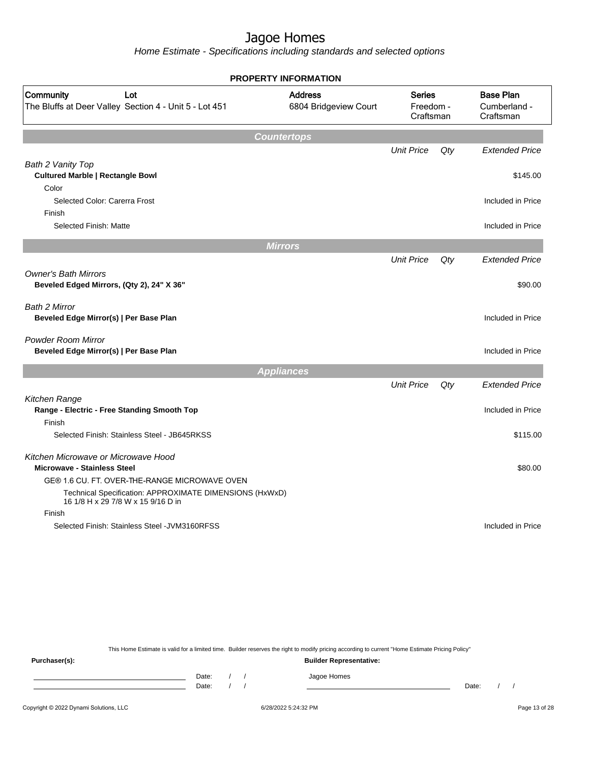Home Estimate - Specifications including standards and selected options

|                                                                                               | <b>PROPERTY INFORMATION</b>                                                        |                   |        |                       |  |                                               |
|-----------------------------------------------------------------------------------------------|------------------------------------------------------------------------------------|-------------------|--------|-----------------------|--|-----------------------------------------------|
| Community<br>Lot<br>The Bluffs at Deer Valley Section 4 - Unit 5 - Lot 451                    | <b>Address</b><br><b>Series</b><br>6804 Bridgeview Court<br>Freedom -<br>Craftsman |                   |        |                       |  | <b>Base Plan</b><br>Cumberland -<br>Craftsman |
|                                                                                               | <b>Countertops</b>                                                                 |                   |        |                       |  |                                               |
|                                                                                               |                                                                                    | <b>Unit Price</b> | Qty    | <b>Extended Price</b> |  |                                               |
| Bath 2 Vanity Top                                                                             |                                                                                    |                   |        |                       |  |                                               |
| <b>Cultured Marble   Rectangle Bowl</b>                                                       |                                                                                    |                   |        | \$145.00              |  |                                               |
| Color                                                                                         |                                                                                    |                   |        |                       |  |                                               |
| Selected Color: Carerra Frost                                                                 |                                                                                    |                   |        | Included in Price     |  |                                               |
| Finish                                                                                        |                                                                                    |                   |        |                       |  |                                               |
| Selected Finish: Matte                                                                        |                                                                                    |                   |        | Included in Price     |  |                                               |
|                                                                                               | <b>Mirrors</b>                                                                     |                   |        |                       |  |                                               |
|                                                                                               |                                                                                    | <b>Unit Price</b> | $Q$ ty | <b>Extended Price</b> |  |                                               |
| <b>Owner's Bath Mirrors</b><br>Beveled Edged Mirrors, (Qty 2), 24" X 36"                      |                                                                                    |                   |        | \$90.00               |  |                                               |
| Bath 2 Mirror<br>Beveled Edge Mirror(s)   Per Base Plan                                       |                                                                                    |                   |        | Included in Price     |  |                                               |
|                                                                                               |                                                                                    |                   |        |                       |  |                                               |
| <b>Powder Room Mirror</b><br>Beveled Edge Mirror(s)   Per Base Plan                           |                                                                                    |                   |        | Included in Price     |  |                                               |
|                                                                                               | <b>Appliances</b>                                                                  |                   |        |                       |  |                                               |
|                                                                                               |                                                                                    | <b>Unit Price</b> | Qty    | <b>Extended Price</b> |  |                                               |
| Kitchen Range                                                                                 |                                                                                    |                   |        |                       |  |                                               |
| Range - Electric - Free Standing Smooth Top                                                   |                                                                                    |                   |        | Included in Price     |  |                                               |
| Finish                                                                                        |                                                                                    |                   |        |                       |  |                                               |
| Selected Finish: Stainless Steel - JB645RKSS                                                  |                                                                                    |                   |        | \$115.00              |  |                                               |
| Kitchen Microwave or Microwave Hood                                                           |                                                                                    |                   |        |                       |  |                                               |
| <b>Microwave - Stainless Steel</b>                                                            |                                                                                    |                   |        | \$80.00               |  |                                               |
| GE® 1.6 CU. FT. OVER-THE-RANGE MICROWAVE OVEN                                                 |                                                                                    |                   |        |                       |  |                                               |
| Technical Specification: APPROXIMATE DIMENSIONS (HxWxD)<br>16 1/8 H x 29 7/8 W x 15 9/16 D in |                                                                                    |                   |        |                       |  |                                               |
| Finish                                                                                        |                                                                                    |                   |        |                       |  |                                               |
| Selected Finish: Stainless Steel - JVM3160RFSS                                                |                                                                                    |                   |        | Included in Price     |  |                                               |

This Home Estimate is valid for a limited time. Builder reserves the right to modify pricing according to current "Home Estimate Pricing Policy"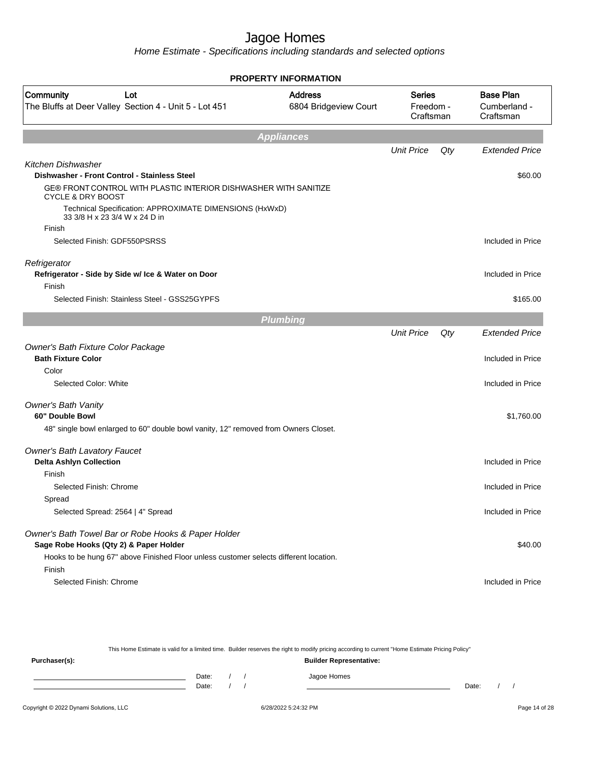Home Estimate - Specifications including standards and selected options

|                                                                                                  | <b>PROPERTY INFORMATION</b>             |                                         |     |                       |  |                                               |
|--------------------------------------------------------------------------------------------------|-----------------------------------------|-----------------------------------------|-----|-----------------------|--|-----------------------------------------------|
| Community<br>Lot<br>The Bluffs at Deer Valley Section 4 - Unit 5 - Lot 451                       | <b>Address</b><br>6804 Bridgeview Court | <b>Series</b><br>Freedom -<br>Craftsman |     |                       |  | <b>Base Plan</b><br>Cumberland -<br>Craftsman |
|                                                                                                  | <b>Appliances</b>                       |                                         |     |                       |  |                                               |
|                                                                                                  |                                         | <b>Unit Price</b>                       | Qty | <b>Extended Price</b> |  |                                               |
| Kitchen Dishwasher                                                                               |                                         |                                         |     |                       |  |                                               |
| Dishwasher - Front Control - Stainless Steel                                                     |                                         |                                         |     | \$60.00               |  |                                               |
| GE® FRONT CONTROL WITH PLASTIC INTERIOR DISHWASHER WITH SANITIZE<br><b>CYCLE &amp; DRY BOOST</b> |                                         |                                         |     |                       |  |                                               |
| Technical Specification: APPROXIMATE DIMENSIONS (HxWxD)<br>33 3/8 H x 23 3/4 W x 24 D in         |                                         |                                         |     |                       |  |                                               |
| Finish                                                                                           |                                         |                                         |     |                       |  |                                               |
| Selected Finish: GDF550PSRSS                                                                     |                                         |                                         |     | Included in Price     |  |                                               |
| Refrigerator                                                                                     |                                         |                                         |     |                       |  |                                               |
| Refrigerator - Side by Side w/ Ice & Water on Door                                               |                                         |                                         |     | Included in Price     |  |                                               |
| Finish                                                                                           |                                         |                                         |     |                       |  |                                               |
| Selected Finish: Stainless Steel - GSS25GYPFS                                                    |                                         |                                         |     | \$165.00              |  |                                               |
|                                                                                                  | <b>Plumbing</b>                         |                                         |     |                       |  |                                               |
|                                                                                                  |                                         | <b>Unit Price</b>                       | Qty | <b>Extended Price</b> |  |                                               |
| Owner's Bath Fixture Color Package                                                               |                                         |                                         |     |                       |  |                                               |
| <b>Bath Fixture Color</b>                                                                        |                                         |                                         |     | Included in Price     |  |                                               |
| Color                                                                                            |                                         |                                         |     |                       |  |                                               |
| Selected Color: White                                                                            |                                         |                                         |     | Included in Price     |  |                                               |
| <b>Owner's Bath Vanity</b>                                                                       |                                         |                                         |     |                       |  |                                               |
| 60" Double Bowl                                                                                  |                                         |                                         |     | \$1,760.00            |  |                                               |
| 48" single bowl enlarged to 60" double bowl vanity, 12" removed from Owners Closet.              |                                         |                                         |     |                       |  |                                               |
| <b>Owner's Bath Lavatory Faucet</b>                                                              |                                         |                                         |     |                       |  |                                               |
| <b>Delta Ashlyn Collection</b>                                                                   |                                         |                                         |     | Included in Price     |  |                                               |
| Finish                                                                                           |                                         |                                         |     |                       |  |                                               |
| Selected Finish: Chrome                                                                          |                                         |                                         |     | Included in Price     |  |                                               |
| Spread                                                                                           |                                         |                                         |     |                       |  |                                               |
| Selected Spread: 2564   4" Spread                                                                |                                         |                                         |     | Included in Price     |  |                                               |
| Owner's Bath Towel Bar or Robe Hooks & Paper Holder<br>Sage Robe Hooks (Qty 2) & Paper Holder    |                                         |                                         |     | \$40.00               |  |                                               |
| Hooks to be hung 67" above Finished Floor unless customer selects different location.            |                                         |                                         |     |                       |  |                                               |
| Finish                                                                                           |                                         |                                         |     |                       |  |                                               |
| Selected Finish: Chrome                                                                          |                                         |                                         |     | Included in Price     |  |                                               |
|                                                                                                  |                                         |                                         |     |                       |  |                                               |

This Home Estimate is valid for a limited time. Builder reserves the right to modify pricing according to current "Home Estimate Pricing Policy" **Purchaser(s): Builder Representative:**

| Date: |  | lomes |       |  |
|-------|--|-------|-------|--|
| Date: |  |       | Date: |  |
|       |  |       |       |  |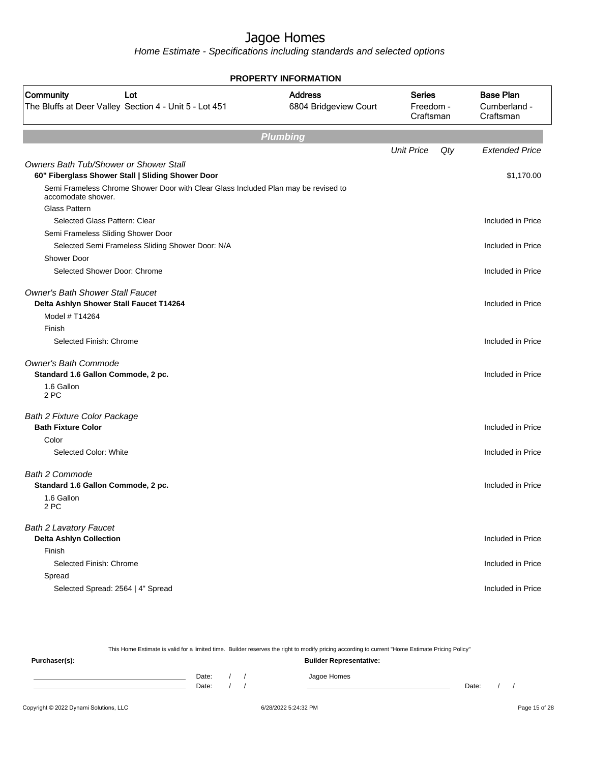Home Estimate - Specifications including standards and selected options

| <b>PROPERTY INFORMATION</b>                                                                              |                                         |                                         |     |                                               |  |  |  |  |
|----------------------------------------------------------------------------------------------------------|-----------------------------------------|-----------------------------------------|-----|-----------------------------------------------|--|--|--|--|
| Community<br>Lot<br>The Bluffs at Deer Valley Section 4 - Unit 5 - Lot 451                               | <b>Address</b><br>6804 Bridgeview Court | <b>Series</b><br>Freedom -<br>Craftsman |     | <b>Base Plan</b><br>Cumberland -<br>Craftsman |  |  |  |  |
|                                                                                                          | <b>Plumbing</b>                         |                                         |     |                                               |  |  |  |  |
|                                                                                                          |                                         | <b>Unit Price</b>                       | Qty | <b>Extended Price</b>                         |  |  |  |  |
| <b>Owners Bath Tub/Shower or Shower Stall</b><br>60" Fiberglass Shower Stall   Sliding Shower Door       |                                         |                                         |     | \$1,170.00                                    |  |  |  |  |
| Semi Frameless Chrome Shower Door with Clear Glass Included Plan may be revised to<br>accomodate shower. |                                         |                                         |     |                                               |  |  |  |  |
| Glass Pattern                                                                                            |                                         |                                         |     |                                               |  |  |  |  |
| Selected Glass Pattern: Clear                                                                            |                                         |                                         |     | Included in Price                             |  |  |  |  |
| Semi Frameless Sliding Shower Door                                                                       |                                         |                                         |     |                                               |  |  |  |  |
| Selected Semi Frameless Sliding Shower Door: N/A                                                         |                                         |                                         |     | Included in Price                             |  |  |  |  |
| <b>Shower Door</b>                                                                                       |                                         |                                         |     |                                               |  |  |  |  |
| Selected Shower Door: Chrome                                                                             |                                         |                                         |     | Included in Price                             |  |  |  |  |
| <b>Owner's Bath Shower Stall Faucet</b><br>Delta Ashlyn Shower Stall Faucet T14264                       |                                         |                                         |     | Included in Price                             |  |  |  |  |
| Model # T14264                                                                                           |                                         |                                         |     |                                               |  |  |  |  |
| Finish                                                                                                   |                                         |                                         |     |                                               |  |  |  |  |
| Selected Finish: Chrome                                                                                  |                                         |                                         |     | Included in Price                             |  |  |  |  |
| <b>Owner's Bath Commode</b><br>Standard 1.6 Gallon Commode, 2 pc.                                        |                                         |                                         |     | Included in Price                             |  |  |  |  |
| 1.6 Gallon<br>2 PC                                                                                       |                                         |                                         |     |                                               |  |  |  |  |
| <b>Bath 2 Fixture Color Package</b>                                                                      |                                         |                                         |     |                                               |  |  |  |  |
| <b>Bath Fixture Color</b>                                                                                |                                         |                                         |     | Included in Price                             |  |  |  |  |
| Color                                                                                                    |                                         |                                         |     |                                               |  |  |  |  |
| Selected Color: White                                                                                    |                                         |                                         |     | Included in Price                             |  |  |  |  |
| <b>Bath 2 Commode</b>                                                                                    |                                         |                                         |     |                                               |  |  |  |  |
| Standard 1.6 Gallon Commode, 2 pc.                                                                       |                                         |                                         |     | Included in Price                             |  |  |  |  |
| 1.6 Gallon<br>2 PC                                                                                       |                                         |                                         |     |                                               |  |  |  |  |
| <b>Bath 2 Lavatory Faucet</b>                                                                            |                                         |                                         |     |                                               |  |  |  |  |
| <b>Delta Ashlyn Collection</b>                                                                           |                                         |                                         |     | Included in Price                             |  |  |  |  |
| Finish                                                                                                   |                                         |                                         |     |                                               |  |  |  |  |
| Selected Finish: Chrome                                                                                  |                                         |                                         |     | Included in Price                             |  |  |  |  |
| Spread                                                                                                   |                                         |                                         |     |                                               |  |  |  |  |
| Selected Spread: 2564   4" Spread                                                                        |                                         |                                         |     | Included in Price                             |  |  |  |  |

This Home Estimate is valid for a limited time. Builder reserves the right to modify pricing according to current "Home Estimate Pricing Policy" **Purchaser(s): Builder Representative:** Date: / / Jagoe Homes<br>Date: / / Jagoe Homes Date: / / **Date: / / 2006** Date: / / / Date: / / /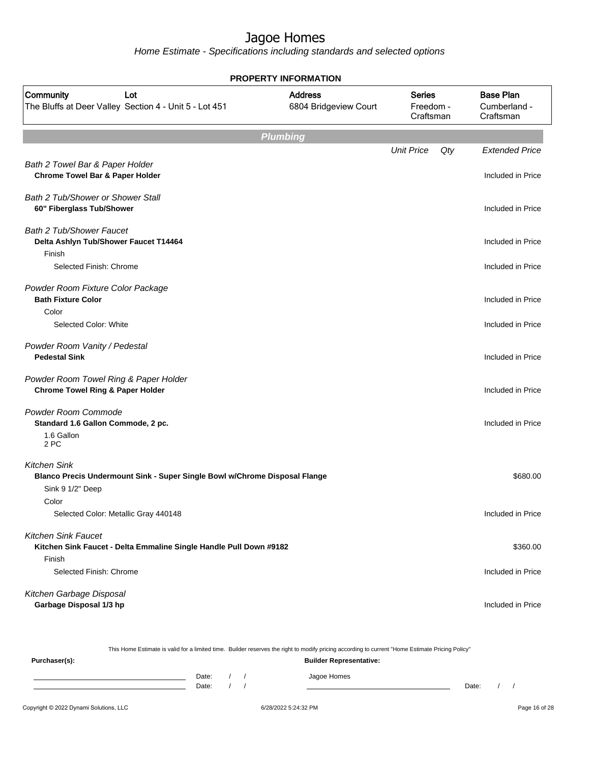Home Estimate - Specifications including standards and selected options

| <b>PROPERTY INFORMATION</b>                                                                       |                                         |                                         |     |                                               |  |  |
|---------------------------------------------------------------------------------------------------|-----------------------------------------|-----------------------------------------|-----|-----------------------------------------------|--|--|
| Community<br>Lot<br>The Bluffs at Deer Valley Section 4 - Unit 5 - Lot 451                        | <b>Address</b><br>6804 Bridgeview Court | <b>Series</b><br>Freedom -<br>Craftsman |     | <b>Base Plan</b><br>Cumberland -<br>Craftsman |  |  |
|                                                                                                   | <b>Plumbing</b>                         |                                         |     |                                               |  |  |
|                                                                                                   |                                         | <b>Unit Price</b>                       | Qty | <b>Extended Price</b>                         |  |  |
| Bath 2 Towel Bar & Paper Holder<br>Chrome Towel Bar & Paper Holder                                |                                         |                                         |     | Included in Price                             |  |  |
| <b>Bath 2 Tub/Shower or Shower Stall</b><br>60" Fiberglass Tub/Shower                             |                                         |                                         |     | Included in Price                             |  |  |
| <b>Bath 2 Tub/Shower Faucet</b><br>Delta Ashlyn Tub/Shower Faucet T14464<br>Finish                |                                         |                                         |     | Included in Price                             |  |  |
| Selected Finish: Chrome                                                                           |                                         |                                         |     | Included in Price                             |  |  |
| Powder Room Fixture Color Package<br><b>Bath Fixture Color</b>                                    |                                         |                                         |     | Included in Price                             |  |  |
| Color<br>Selected Color: White                                                                    |                                         |                                         |     | Included in Price                             |  |  |
| Powder Room Vanity / Pedestal<br><b>Pedestal Sink</b>                                             |                                         |                                         |     | Included in Price                             |  |  |
| Powder Room Towel Ring & Paper Holder<br><b>Chrome Towel Ring &amp; Paper Holder</b>              |                                         |                                         |     | Included in Price                             |  |  |
| Powder Room Commode<br>Standard 1.6 Gallon Commode, 2 pc.                                         |                                         |                                         |     | Included in Price                             |  |  |
| 1.6 Gallon<br>2 PC                                                                                |                                         |                                         |     |                                               |  |  |
| <b>Kitchen Sink</b><br>Blanco Precis Undermount Sink - Super Single Bowl w/Chrome Disposal Flange |                                         |                                         |     | \$680.00                                      |  |  |
| Sink 9 1/2" Deep                                                                                  |                                         |                                         |     |                                               |  |  |
| Color<br>Selected Color: Metallic Gray 440148                                                     |                                         |                                         |     | Included in Price                             |  |  |
| <b>Kitchen Sink Faucet</b><br>Kitchen Sink Faucet - Delta Emmaline Single Handle Pull Down #9182  |                                         |                                         |     | \$360.00                                      |  |  |
| Finish<br>Selected Finish: Chrome                                                                 |                                         |                                         |     | Included in Price                             |  |  |
| Kitchen Garbage Disposal<br>Garbage Disposal 1/3 hp                                               |                                         |                                         |     | Included in Price                             |  |  |

|                                        |                                |  |  | This Home Estimate is valid for a limited time. Builder reserves the right to modify pricing according to current "Home Estimate Pricing Policy" |       |  |  |               |
|----------------------------------------|--------------------------------|--|--|--------------------------------------------------------------------------------------------------------------------------------------------------|-------|--|--|---------------|
| Purchaser(s):                          | <b>Builder Representative:</b> |  |  |                                                                                                                                                  |       |  |  |               |
|                                        | Date:<br>Date:                 |  |  | Jagoe Homes                                                                                                                                      | Date: |  |  |               |
| Copyright © 2022 Dynami Solutions, LLC |                                |  |  | 6/28/2022 5:24:32 PM                                                                                                                             |       |  |  | Page 16 of 28 |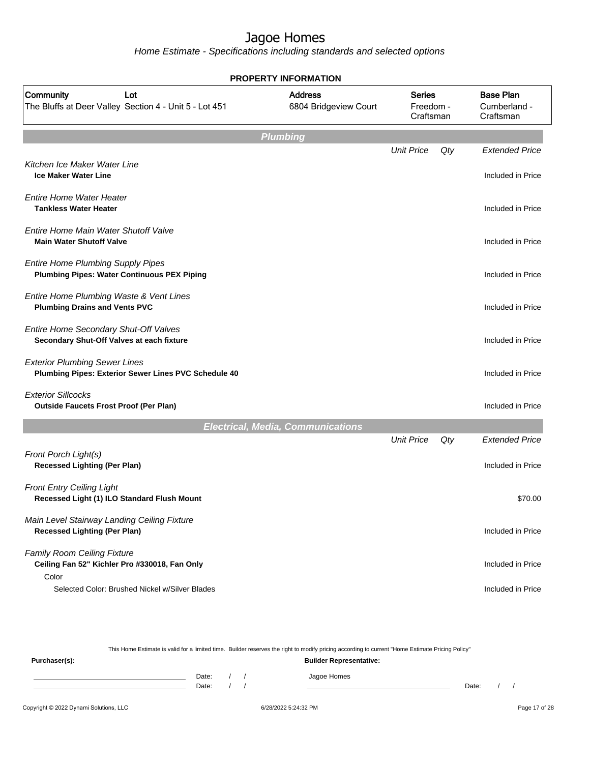Home Estimate - Specifications including standards and selected options

| <b>PROPERTY INFORMATION</b>                                                                    |  |                                          |                                         |     |                                               |  |
|------------------------------------------------------------------------------------------------|--|------------------------------------------|-----------------------------------------|-----|-----------------------------------------------|--|
| Community<br>Lot<br>The Bluffs at Deer Valley Section 4 - Unit 5 - Lot 451                     |  | <b>Address</b><br>6804 Bridgeview Court  | <b>Series</b><br>Freedom -<br>Craftsman |     | <b>Base Plan</b><br>Cumberland -<br>Craftsman |  |
|                                                                                                |  | <b>Plumbing</b>                          |                                         |     |                                               |  |
| Kitchen Ice Maker Water Line<br><b>Ice Maker Water Line</b>                                    |  |                                          | <b>Unit Price</b>                       | Qty | <b>Extended Price</b><br>Included in Price    |  |
| <b>Entire Home Water Heater</b><br><b>Tankless Water Heater</b>                                |  |                                          |                                         |     | Included in Price                             |  |
| Entire Home Main Water Shutoff Valve<br><b>Main Water Shutoff Valve</b>                        |  |                                          |                                         |     | Included in Price                             |  |
| <b>Entire Home Plumbing Supply Pipes</b><br><b>Plumbing Pipes: Water Continuous PEX Piping</b> |  |                                          |                                         |     | Included in Price                             |  |
| Entire Home Plumbing Waste & Vent Lines<br><b>Plumbing Drains and Vents PVC</b>                |  |                                          |                                         |     | Included in Price                             |  |
| Entire Home Secondary Shut-Off Valves<br>Secondary Shut-Off Valves at each fixture             |  |                                          |                                         |     | Included in Price                             |  |
| <b>Exterior Plumbing Sewer Lines</b><br>Plumbing Pipes: Exterior Sewer Lines PVC Schedule 40   |  |                                          |                                         |     | Included in Price                             |  |
| <b>Exterior Sillcocks</b><br><b>Outside Faucets Frost Proof (Per Plan)</b>                     |  |                                          |                                         |     | Included in Price                             |  |
|                                                                                                |  | <b>Electrical, Media, Communications</b> |                                         |     |                                               |  |
| Front Porch Light(s)<br><b>Recessed Lighting (Per Plan)</b>                                    |  |                                          | <b>Unit Price</b>                       | Qty | <b>Extended Price</b><br>Included in Price    |  |
| <b>Front Entry Ceiling Light</b><br>Recessed Light (1) ILO Standard Flush Mount                |  |                                          |                                         |     | \$70.00                                       |  |
| Main Level Stairway Landing Ceiling Fixture<br><b>Recessed Lighting (Per Plan)</b>             |  |                                          |                                         |     | Included in Price                             |  |
| <b>Family Room Ceiling Fixture</b><br>Ceiling Fan 52" Kichler Pro #330018, Fan Only<br>Color   |  |                                          |                                         |     | Included in Price                             |  |
| Selected Color: Brushed Nickel w/Silver Blades                                                 |  |                                          |                                         |     | Included in Price                             |  |

This Home Estimate is valid for a limited time. Builder reserves the right to modify pricing according to current "Home Estimate Pricing Policy" **Purchaser(s): Builder Representative:** Date: / / Jagoe Homes<br>Date: / / Jagoe Homes Date: / / **Date: / / 2006** Date: / / / Date: / / /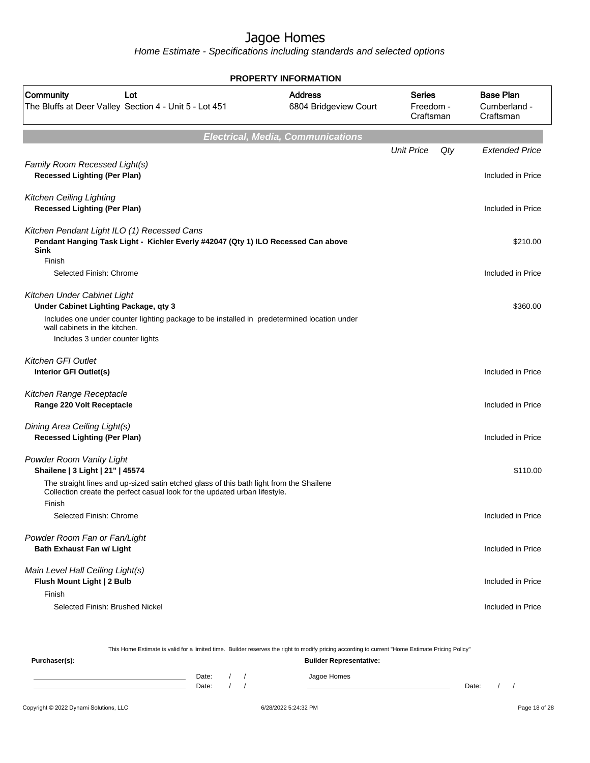Home Estimate - Specifications including standards and selected options

| <b>PROPERTY INFORMATION</b>                                                                                                                                                     |                                         |                                         |     |                                               |  |  |  |  |  |
|---------------------------------------------------------------------------------------------------------------------------------------------------------------------------------|-----------------------------------------|-----------------------------------------|-----|-----------------------------------------------|--|--|--|--|--|
| Community<br>Lot<br>The Bluffs at Deer Valley Section 4 - Unit 5 - Lot 451                                                                                                      | <b>Address</b><br>6804 Bridgeview Court | <b>Series</b><br>Freedom -<br>Craftsman |     | <b>Base Plan</b><br>Cumberland -<br>Craftsman |  |  |  |  |  |
| <b>Electrical, Media, Communications</b>                                                                                                                                        |                                         |                                         |     |                                               |  |  |  |  |  |
|                                                                                                                                                                                 |                                         | <b>Unit Price</b>                       | Qty | <b>Extended Price</b>                         |  |  |  |  |  |
| Family Room Recessed Light(s)<br><b>Recessed Lighting (Per Plan)</b>                                                                                                            |                                         |                                         |     | Included in Price                             |  |  |  |  |  |
| <b>Kitchen Ceiling Lighting</b><br><b>Recessed Lighting (Per Plan)</b>                                                                                                          |                                         |                                         |     | Included in Price                             |  |  |  |  |  |
| Kitchen Pendant Light ILO (1) Recessed Cans<br>Pendant Hanging Task Light - Kichler Everly #42047 (Qty 1) ILO Recessed Can above<br><b>Sink</b><br>Finish                       |                                         |                                         |     | \$210.00                                      |  |  |  |  |  |
| Selected Finish: Chrome                                                                                                                                                         |                                         |                                         |     | Included in Price                             |  |  |  |  |  |
| Kitchen Under Cabinet Light<br>Under Cabinet Lighting Package, qty 3                                                                                                            |                                         |                                         |     | \$360.00                                      |  |  |  |  |  |
| Includes one under counter lighting package to be installed in predetermined location under<br>wall cabinets in the kitchen.                                                    |                                         |                                         |     |                                               |  |  |  |  |  |
| Includes 3 under counter lights                                                                                                                                                 |                                         |                                         |     |                                               |  |  |  |  |  |
| <b>Kitchen GFI Outlet</b><br>Interior GFI Outlet(s)                                                                                                                             |                                         |                                         |     | Included in Price                             |  |  |  |  |  |
| Kitchen Range Receptacle<br>Range 220 Volt Receptacle                                                                                                                           |                                         |                                         |     | Included in Price                             |  |  |  |  |  |
| Dining Area Ceiling Light(s)<br><b>Recessed Lighting (Per Plan)</b>                                                                                                             |                                         |                                         |     | Included in Price                             |  |  |  |  |  |
| Powder Room Vanity Light<br>Shailene   3 Light   21"   45574                                                                                                                    |                                         |                                         |     | \$110.00                                      |  |  |  |  |  |
| The straight lines and up-sized satin etched glass of this bath light from the Shailene<br>Collection create the perfect casual look for the updated urban lifestyle.<br>Finish |                                         |                                         |     |                                               |  |  |  |  |  |
| Selected Finish: Chrome                                                                                                                                                         |                                         |                                         |     | Included in Price                             |  |  |  |  |  |
| Powder Room Fan or Fan/Light<br><b>Bath Exhaust Fan w/ Light</b>                                                                                                                |                                         |                                         |     | Included in Price                             |  |  |  |  |  |
| Main Level Hall Ceiling Light(s)<br>Flush Mount Light   2 Bulb<br>Finish                                                                                                        |                                         |                                         |     | Included in Price                             |  |  |  |  |  |
| Selected Finish: Brushed Nickel                                                                                                                                                 |                                         |                                         |     | Included in Price                             |  |  |  |  |  |

Copyright © 2022 Dynami Solutions, LLC <br>
6/28/2022 5:24:32 PM Page 18 of 28 This Home Estimate is valid for a limited time. Builder reserves the right to modify pricing according to current "Home Estimate Pricing Policy" **Purchaser(s): Builder Representative:** Date: / / Jagoe Homes<br>Date: / / Jagoe Homes Date: / / Date: / /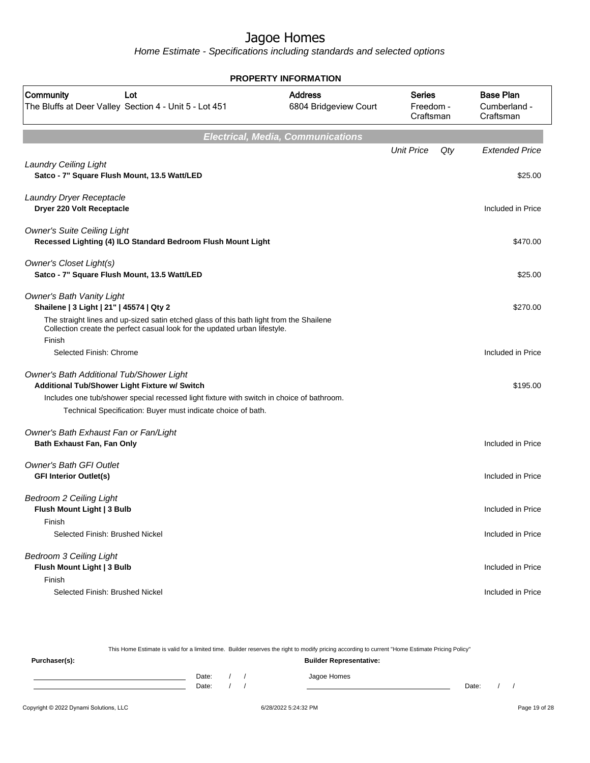Home Estimate - Specifications including standards and selected options

| <b>PROPERTY INFORMATION</b>                                                                                                                                                                                                                                     |                                          |                                         |     |                                               |  |
|-----------------------------------------------------------------------------------------------------------------------------------------------------------------------------------------------------------------------------------------------------------------|------------------------------------------|-----------------------------------------|-----|-----------------------------------------------|--|
| Community<br>Lot<br>The Bluffs at Deer Valley Section 4 - Unit 5 - Lot 451                                                                                                                                                                                      | <b>Address</b><br>6804 Bridgeview Court  | <b>Series</b><br>Freedom -<br>Craftsman |     | <b>Base Plan</b><br>Cumberland -<br>Craftsman |  |
|                                                                                                                                                                                                                                                                 | <b>Electrical, Media, Communications</b> |                                         |     |                                               |  |
|                                                                                                                                                                                                                                                                 |                                          | <b>Unit Price</b>                       | Qty | <b>Extended Price</b>                         |  |
| <b>Laundry Ceiling Light</b><br>Satco - 7" Square Flush Mount, 13.5 Watt/LED                                                                                                                                                                                    |                                          |                                         |     | \$25.00                                       |  |
| Laundry Dryer Receptacle<br>Dryer 220 Volt Receptacle                                                                                                                                                                                                           |                                          |                                         |     | Included in Price                             |  |
| <b>Owner's Suite Ceiling Light</b><br>Recessed Lighting (4) ILO Standard Bedroom Flush Mount Light                                                                                                                                                              |                                          |                                         |     | \$470.00                                      |  |
| <b>Owner's Closet Light(s)</b><br>Satco - 7" Square Flush Mount, 13.5 Watt/LED                                                                                                                                                                                  |                                          |                                         |     | \$25.00                                       |  |
| <b>Owner's Bath Vanity Light</b><br>Shailene   3 Light   21"   45574   Qty 2<br>The straight lines and up-sized satin etched glass of this bath light from the Shailene<br>Collection create the perfect casual look for the updated urban lifestyle.<br>Finish |                                          |                                         |     | \$270.00                                      |  |
| Selected Finish: Chrome                                                                                                                                                                                                                                         |                                          |                                         |     | Included in Price                             |  |
| Owner's Bath Additional Tub/Shower Light<br>Additional Tub/Shower Light Fixture w/ Switch<br>Includes one tub/shower special recessed light fixture with switch in choice of bathroom.                                                                          |                                          |                                         |     | \$195.00                                      |  |
| Technical Specification: Buyer must indicate choice of bath.                                                                                                                                                                                                    |                                          |                                         |     |                                               |  |
| Owner's Bath Exhaust Fan or Fan/Light<br>Bath Exhaust Fan, Fan Only                                                                                                                                                                                             |                                          |                                         |     | Included in Price                             |  |
| <b>Owner's Bath GFI Outlet</b><br><b>GFI Interior Outlet(s)</b>                                                                                                                                                                                                 |                                          |                                         |     | Included in Price                             |  |
| <b>Bedroom 2 Ceiling Light</b><br>Flush Mount Light   3 Bulb<br>Finish                                                                                                                                                                                          |                                          |                                         |     | Included in Price                             |  |
| Selected Finish: Brushed Nickel                                                                                                                                                                                                                                 |                                          |                                         |     | Included in Price                             |  |
| <b>Bedroom 3 Ceiling Light</b><br>Flush Mount Light   3 Bulb<br>Finish                                                                                                                                                                                          |                                          |                                         |     | Included in Price                             |  |
| Selected Finish: Brushed Nickel                                                                                                                                                                                                                                 |                                          |                                         |     | Included in Price                             |  |

Copyright © 2022 Dynami Solutions, LLC <br>
6/28/2022 5:24:32 PM Page 19 of 28 This Home Estimate is valid for a limited time. Builder reserves the right to modify pricing according to current "Home Estimate Pricing Policy" **Purchaser(s): Builder Representative:** Date: / / Jagoe Homes<br>Date: / / Jagoe Homes Date: / / **Date: / / 2006** Date: / / / Date: / / /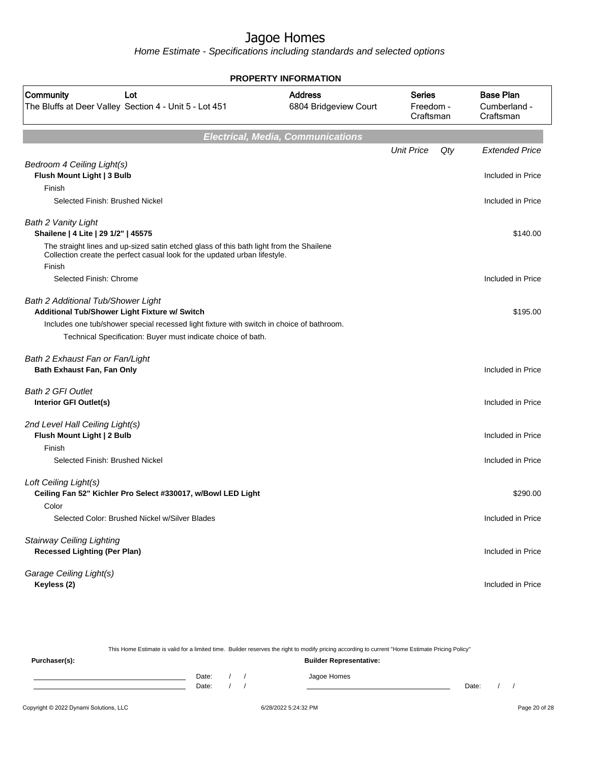Home Estimate - Specifications including standards and selected options

| <b>PROPERTY INFORMATION</b>                                                                                                                                                     |                                          |                                  |     |                                               |  |  |  |
|---------------------------------------------------------------------------------------------------------------------------------------------------------------------------------|------------------------------------------|----------------------------------|-----|-----------------------------------------------|--|--|--|
| <b>Community</b><br>Lot<br>The Bluffs at Deer Valley Section 4 - Unit 5 - Lot 451                                                                                               | <b>Address</b><br>6804 Bridgeview Court  | Series<br>Freedom -<br>Craftsman |     | <b>Base Plan</b><br>Cumberland -<br>Craftsman |  |  |  |
|                                                                                                                                                                                 | <b>Electrical, Media, Communications</b> |                                  |     |                                               |  |  |  |
|                                                                                                                                                                                 |                                          | <b>Unit Price</b>                | Qty | <b>Extended Price</b>                         |  |  |  |
| Bedroom 4 Ceiling Light(s)<br>Flush Mount Light   3 Bulb                                                                                                                        |                                          |                                  |     | Included in Price                             |  |  |  |
| Finish                                                                                                                                                                          |                                          |                                  |     |                                               |  |  |  |
| Selected Finish: Brushed Nickel                                                                                                                                                 |                                          |                                  |     | Included in Price                             |  |  |  |
| Bath 2 Vanity Light<br>Shailene   4 Lite   29 1/2"   45575                                                                                                                      |                                          |                                  |     | \$140.00                                      |  |  |  |
| The straight lines and up-sized satin etched glass of this bath light from the Shailene<br>Collection create the perfect casual look for the updated urban lifestyle.<br>Finish |                                          |                                  |     |                                               |  |  |  |
| Selected Finish: Chrome                                                                                                                                                         |                                          |                                  |     | Included in Price                             |  |  |  |
| Bath 2 Additional Tub/Shower Light<br>Additional Tub/Shower Light Fixture w/ Switch                                                                                             |                                          |                                  |     | \$195.00                                      |  |  |  |
| Includes one tub/shower special recessed light fixture with switch in choice of bathroom.                                                                                       |                                          |                                  |     |                                               |  |  |  |
| Technical Specification: Buyer must indicate choice of bath.                                                                                                                    |                                          |                                  |     |                                               |  |  |  |
| Bath 2 Exhaust Fan or Fan/Light                                                                                                                                                 |                                          |                                  |     |                                               |  |  |  |
| Bath Exhaust Fan, Fan Only                                                                                                                                                      |                                          |                                  |     | Included in Price                             |  |  |  |
| <b>Bath 2 GFI Outlet</b>                                                                                                                                                        |                                          |                                  |     |                                               |  |  |  |
| Interior GFI Outlet(s)                                                                                                                                                          |                                          |                                  |     | Included in Price                             |  |  |  |
| 2nd Level Hall Ceiling Light(s)                                                                                                                                                 |                                          |                                  |     |                                               |  |  |  |
| Flush Mount Light   2 Bulb                                                                                                                                                      |                                          |                                  |     | Included in Price                             |  |  |  |
| Finish<br>Selected Finish: Brushed Nickel                                                                                                                                       |                                          |                                  |     | Included in Price                             |  |  |  |
|                                                                                                                                                                                 |                                          |                                  |     |                                               |  |  |  |
| Loft Ceiling Light(s)<br>Ceiling Fan 52" Kichler Pro Select #330017, w/Bowl LED Light                                                                                           |                                          |                                  |     | \$290.00                                      |  |  |  |
| Color                                                                                                                                                                           |                                          |                                  |     |                                               |  |  |  |
| Selected Color: Brushed Nickel w/Silver Blades                                                                                                                                  |                                          |                                  |     | Included in Price                             |  |  |  |
| <b>Stairway Ceiling Lighting</b>                                                                                                                                                |                                          |                                  |     |                                               |  |  |  |
| <b>Recessed Lighting (Per Plan)</b>                                                                                                                                             |                                          |                                  |     | Included in Price                             |  |  |  |
| Garage Ceiling Light(s)                                                                                                                                                         |                                          |                                  |     |                                               |  |  |  |
| Keyless (2)                                                                                                                                                                     |                                          |                                  |     | Included in Price                             |  |  |  |

This Home Estimate is valid for a limited time. Builder reserves the right to modify pricing according to current "Home Estimate Pricing Policy" **Purchaser(s): Builder Representative:** Date: / / Jagoe Homes<br>Date: / / Jagoe Homes Date: / / Date: / /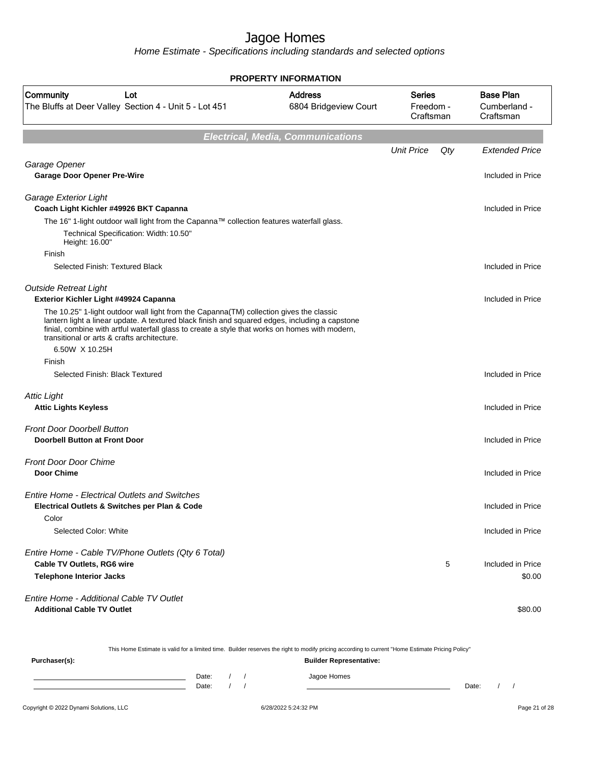Home Estimate - Specifications including standards and selected options

|                                                                                                                                                                                                                                                                                                                                            | <b>PROPERTY INFORMATION</b>              |                                         |     |                                               |
|--------------------------------------------------------------------------------------------------------------------------------------------------------------------------------------------------------------------------------------------------------------------------------------------------------------------------------------------|------------------------------------------|-----------------------------------------|-----|-----------------------------------------------|
| Community<br>Lot<br>The Bluffs at Deer Valley Section 4 - Unit 5 - Lot 451                                                                                                                                                                                                                                                                 | <b>Address</b><br>6804 Bridgeview Court  | <b>Series</b><br>Freedom -<br>Craftsman |     | <b>Base Plan</b><br>Cumberland -<br>Craftsman |
|                                                                                                                                                                                                                                                                                                                                            | <b>Electrical, Media, Communications</b> |                                         |     |                                               |
|                                                                                                                                                                                                                                                                                                                                            |                                          | <b>Unit Price</b>                       | Qty | <b>Extended Price</b>                         |
| Garage Opener                                                                                                                                                                                                                                                                                                                              |                                          |                                         |     |                                               |
| <b>Garage Door Opener Pre-Wire</b>                                                                                                                                                                                                                                                                                                         |                                          |                                         |     | Included in Price                             |
| Garage Exterior Light<br>Coach Light Kichler #49926 BKT Capanna                                                                                                                                                                                                                                                                            |                                          |                                         |     | Included in Price                             |
| The 16" 1-light outdoor wall light from the Capanna™ collection features waterfall glass.                                                                                                                                                                                                                                                  |                                          |                                         |     |                                               |
| Technical Specification: Width: 10.50"<br>Height: 16.00"                                                                                                                                                                                                                                                                                   |                                          |                                         |     |                                               |
| Finish                                                                                                                                                                                                                                                                                                                                     |                                          |                                         |     |                                               |
| Selected Finish: Textured Black                                                                                                                                                                                                                                                                                                            |                                          |                                         |     | Included in Price                             |
| <b>Outside Retreat Light</b><br>Exterior Kichler Light #49924 Capanna                                                                                                                                                                                                                                                                      |                                          |                                         |     | Included in Price                             |
| The 10.25" 1-light outdoor wall light from the Capanna(TM) collection gives the classic<br>lantern light a linear update. A textured black finish and squared edges, including a capstone<br>finial, combine with artful waterfall glass to create a style that works on homes with modern,<br>transitional or arts & crafts architecture. |                                          |                                         |     |                                               |
| 6.50W X 10.25H                                                                                                                                                                                                                                                                                                                             |                                          |                                         |     |                                               |
| Finish                                                                                                                                                                                                                                                                                                                                     |                                          |                                         |     |                                               |
| Selected Finish: Black Textured                                                                                                                                                                                                                                                                                                            |                                          |                                         |     | Included in Price                             |
| <b>Attic Light</b>                                                                                                                                                                                                                                                                                                                         |                                          |                                         |     |                                               |
| <b>Attic Lights Keyless</b>                                                                                                                                                                                                                                                                                                                |                                          |                                         |     | Included in Price                             |
| <b>Front Door Doorbell Button</b>                                                                                                                                                                                                                                                                                                          |                                          |                                         |     |                                               |
| <b>Doorbell Button at Front Door</b>                                                                                                                                                                                                                                                                                                       |                                          |                                         |     | Included in Price                             |
| <b>Front Door Door Chime</b>                                                                                                                                                                                                                                                                                                               |                                          |                                         |     |                                               |
| <b>Door Chime</b>                                                                                                                                                                                                                                                                                                                          |                                          |                                         |     | Included in Price                             |
| <b>Entire Home - Electrical Outlets and Switches</b>                                                                                                                                                                                                                                                                                       |                                          |                                         |     |                                               |
| Electrical Outlets & Switches per Plan & Code                                                                                                                                                                                                                                                                                              |                                          |                                         |     | Included in Price                             |
| Color                                                                                                                                                                                                                                                                                                                                      |                                          |                                         |     |                                               |
| Selected Color: White                                                                                                                                                                                                                                                                                                                      |                                          |                                         |     | Included in Price                             |
| Entire Home - Cable TV/Phone Outlets (Qty 6 Total)                                                                                                                                                                                                                                                                                         |                                          |                                         |     |                                               |
| Cable TV Outlets, RG6 wire                                                                                                                                                                                                                                                                                                                 |                                          |                                         | 5   | Included in Price                             |
| <b>Telephone Interior Jacks</b>                                                                                                                                                                                                                                                                                                            |                                          |                                         |     | \$0.00                                        |
| Entire Home - Additional Cable TV Outlet<br><b>Additional Cable TV Outlet</b>                                                                                                                                                                                                                                                              |                                          |                                         |     | \$80.00                                       |

| This Home Estimate is valid for a limited time. Builder reserves the right to modify pricing according to current "Home Estimate Pricing Policy" |  |       |  |  |                                |       |  |  |
|--------------------------------------------------------------------------------------------------------------------------------------------------|--|-------|--|--|--------------------------------|-------|--|--|
| Purchaser(s):                                                                                                                                    |  |       |  |  | <b>Builder Representative:</b> |       |  |  |
|                                                                                                                                                  |  | Date: |  |  | Jagoe Homes                    |       |  |  |
|                                                                                                                                                  |  | Date: |  |  |                                | Date: |  |  |
|                                                                                                                                                  |  |       |  |  |                                |       |  |  |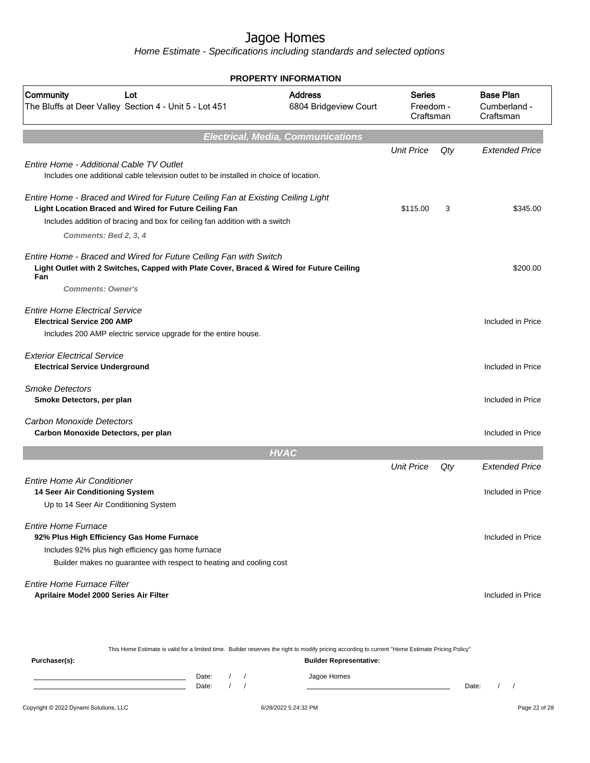Home Estimate - Specifications including standards and selected options

|                                                                                                                                                                      | <b>PROPERTY INFORMATION</b>              |                                  |     |                                               |
|----------------------------------------------------------------------------------------------------------------------------------------------------------------------|------------------------------------------|----------------------------------|-----|-----------------------------------------------|
| Community<br>Lot<br>The Bluffs at Deer Valley Section 4 - Unit 5 - Lot 451                                                                                           | <b>Address</b><br>6804 Bridgeview Court  | Series<br>Freedom -<br>Craftsman |     | <b>Base Plan</b><br>Cumberland -<br>Craftsman |
|                                                                                                                                                                      | <b>Electrical, Media, Communications</b> |                                  |     |                                               |
|                                                                                                                                                                      |                                          | <b>Unit Price</b>                | Qty | <b>Extended Price</b>                         |
| <b>Entire Home - Additional Cable TV Outlet</b><br>Includes one additional cable television outlet to be installed in choice of location.                            |                                          |                                  |     |                                               |
| Entire Home - Braced and Wired for Future Ceiling Fan at Existing Ceiling Light<br>Light Location Braced and Wired for Future Ceiling Fan                            |                                          | \$115.00                         | 3   | \$345.00                                      |
| Includes addition of bracing and box for ceiling fan addition with a switch                                                                                          |                                          |                                  |     |                                               |
| Comments: Bed 2, 3, 4                                                                                                                                                |                                          |                                  |     |                                               |
| Entire Home - Braced and Wired for Future Ceiling Fan with Switch<br>Light Outlet with 2 Switches, Capped with Plate Cover, Braced & Wired for Future Ceiling<br>Fan |                                          |                                  |     | \$200.00                                      |
| <b>Comments: Owner's</b>                                                                                                                                             |                                          |                                  |     |                                               |
| <b>Entire Home Electrical Service</b><br><b>Electrical Service 200 AMP</b>                                                                                           |                                          |                                  |     | Included in Price                             |
| Includes 200 AMP electric service upgrade for the entire house.                                                                                                      |                                          |                                  |     |                                               |
| <b>Exterior Electrical Service</b>                                                                                                                                   |                                          |                                  |     |                                               |
| <b>Electrical Service Underground</b>                                                                                                                                |                                          |                                  |     | Included in Price                             |
| <b>Smoke Detectors</b>                                                                                                                                               |                                          |                                  |     |                                               |
| Smoke Detectors, per plan                                                                                                                                            |                                          |                                  |     | Included in Price                             |
|                                                                                                                                                                      |                                          |                                  |     |                                               |
| Carbon Monoxide Detectors<br>Carbon Monoxide Detectors, per plan                                                                                                     |                                          |                                  |     | Included in Price                             |
|                                                                                                                                                                      |                                          |                                  |     |                                               |
|                                                                                                                                                                      | <b>HVAC</b>                              |                                  |     | <b>Extended Price</b>                         |
|                                                                                                                                                                      |                                          | <b>Unit Price</b>                | Qty |                                               |
| <b>Entire Home Air Conditioner</b><br>14 Seer Air Conditioning System                                                                                                |                                          |                                  |     | Included in Price                             |
| Up to 14 Seer Air Conditioning System                                                                                                                                |                                          |                                  |     |                                               |
|                                                                                                                                                                      |                                          |                                  |     |                                               |
| <b>Entire Home Furnace</b>                                                                                                                                           |                                          |                                  |     |                                               |
| 92% Plus High Efficiency Gas Home Furnace                                                                                                                            |                                          |                                  |     | Included in Price                             |
| Includes 92% plus high efficiency gas home furnace                                                                                                                   |                                          |                                  |     |                                               |
| Builder makes no guarantee with respect to heating and cooling cost                                                                                                  |                                          |                                  |     |                                               |
| <b>Entire Home Furnace Filter</b>                                                                                                                                    |                                          |                                  |     |                                               |
| Aprilaire Model 2000 Series Air Filter                                                                                                                               |                                          |                                  |     | Included in Price                             |
|                                                                                                                                                                      |                                          |                                  |     |                                               |
|                                                                                                                                                                      |                                          |                                  |     |                                               |
| This Home Estimate is valid for a limited time. Builder reserves the right to modify pricing according to current "Home Estimate Pricing Policy"                     |                                          |                                  |     |                                               |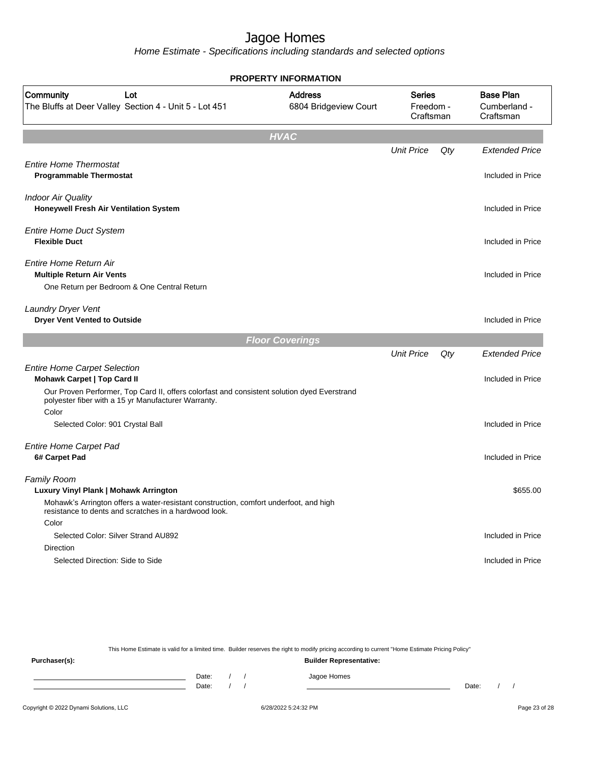Home Estimate - Specifications including standards and selected options

|                                                                                                                                                                                                                                   | <b>PROPERTY INFORMATION</b>             |                                         |     |                                               |
|-----------------------------------------------------------------------------------------------------------------------------------------------------------------------------------------------------------------------------------|-----------------------------------------|-----------------------------------------|-----|-----------------------------------------------|
| Community<br>Lot<br>The Bluffs at Deer Valley Section 4 - Unit 5 - Lot 451                                                                                                                                                        | <b>Address</b><br>6804 Bridgeview Court | <b>Series</b><br>Freedom -<br>Craftsman |     | <b>Base Plan</b><br>Cumberland -<br>Craftsman |
|                                                                                                                                                                                                                                   | <b>HVAC</b>                             |                                         |     |                                               |
|                                                                                                                                                                                                                                   |                                         | <b>Unit Price</b>                       | Qty | <b>Extended Price</b>                         |
| <b>Entire Home Thermostat</b><br><b>Programmable Thermostat</b>                                                                                                                                                                   |                                         |                                         |     | Included in Price                             |
| <b>Indoor Air Quality</b><br>Honeywell Fresh Air Ventilation System                                                                                                                                                               |                                         |                                         |     | Included in Price                             |
| <b>Entire Home Duct System</b><br><b>Flexible Duct</b>                                                                                                                                                                            |                                         |                                         |     | Included in Price                             |
| <b>Entire Home Return Air</b><br><b>Multiple Return Air Vents</b><br>One Return per Bedroom & One Central Return                                                                                                                  |                                         |                                         |     | Included in Price                             |
| Laundry Dryer Vent<br><b>Dryer Vent Vented to Outside</b>                                                                                                                                                                         |                                         |                                         |     | Included in Price                             |
|                                                                                                                                                                                                                                   | <b>Floor Coverings</b>                  |                                         |     |                                               |
| <b>Entire Home Carpet Selection</b><br>Mohawk Carpet   Top Card II<br>Our Proven Performer, Top Card II, offers colorfast and consistent solution dyed Everstrand<br>polyester fiber with a 15 yr Manufacturer Warranty.<br>Color |                                         | <b>Unit Price</b>                       | Qty | <b>Extended Price</b><br>Included in Price    |
| Selected Color: 901 Crystal Ball                                                                                                                                                                                                  |                                         |                                         |     | Included in Price                             |
| <b>Entire Home Carpet Pad</b><br>6# Carpet Pad                                                                                                                                                                                    |                                         |                                         |     | Included in Price                             |
| Family Room<br>Luxury Vinyl Plank   Mohawk Arrington<br>Mohawk's Arrington offers a water-resistant construction, comfort underfoot, and high<br>resistance to dents and scratches in a hardwood look.                            |                                         |                                         |     | \$655.00                                      |
| Color                                                                                                                                                                                                                             |                                         |                                         |     |                                               |
| Selected Color: Silver Strand AU892<br>Direction                                                                                                                                                                                  |                                         |                                         |     | Included in Price                             |
| Selected Direction: Side to Side                                                                                                                                                                                                  |                                         |                                         |     | Included in Price                             |
|                                                                                                                                                                                                                                   |                                         |                                         |     |                                               |
|                                                                                                                                                                                                                                   |                                         |                                         |     |                                               |

This Home Estimate is valid for a limited time. Builder reserves the right to modify pricing according to current "Home Estimate Pricing Policy" **Purchaser(s): Builder Representative:** Date: / / Jagoe Homes<br>Date: / / Jagoe Homes Date: / / Date: / /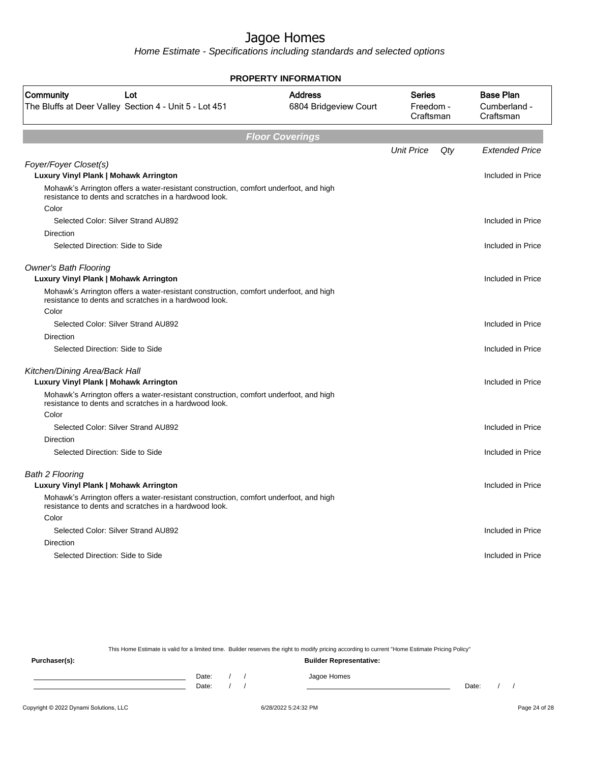Home Estimate - Specifications including standards and selected options

| <b>PROPERTY INFORMATION</b>                                                                                                                    |                                         |                                         |     |                                               |  |  |
|------------------------------------------------------------------------------------------------------------------------------------------------|-----------------------------------------|-----------------------------------------|-----|-----------------------------------------------|--|--|
| Community<br>Lot<br>The Bluffs at Deer Valley Section 4 - Unit 5 - Lot 451                                                                     | <b>Address</b><br>6804 Bridgeview Court | <b>Series</b><br>Freedom -<br>Craftsman |     | <b>Base Plan</b><br>Cumberland -<br>Craftsman |  |  |
|                                                                                                                                                | <b>Floor Coverings</b>                  |                                         |     |                                               |  |  |
|                                                                                                                                                |                                         | <b>Unit Price</b>                       | Qty | <b>Extended Price</b>                         |  |  |
| Foyer/Foyer Closet(s)<br>Luxury Vinyl Plank   Mohawk Arrington                                                                                 |                                         |                                         |     | Included in Price                             |  |  |
| Mohawk's Arrington offers a water-resistant construction, comfort underfoot, and high<br>resistance to dents and scratches in a hardwood look. |                                         |                                         |     |                                               |  |  |
| Color                                                                                                                                          |                                         |                                         |     |                                               |  |  |
| Selected Color: Silver Strand AU892                                                                                                            |                                         |                                         |     | Included in Price                             |  |  |
| Direction                                                                                                                                      |                                         |                                         |     |                                               |  |  |
| Selected Direction: Side to Side                                                                                                               |                                         |                                         |     | Included in Price                             |  |  |
| <b>Owner's Bath Flooring</b><br>Luxury Vinyl Plank   Mohawk Arrington                                                                          |                                         |                                         |     | Included in Price                             |  |  |
| Mohawk's Arrington offers a water-resistant construction, comfort underfoot, and high<br>resistance to dents and scratches in a hardwood look. |                                         |                                         |     |                                               |  |  |
| Color                                                                                                                                          |                                         |                                         |     |                                               |  |  |
| Selected Color: Silver Strand AU892                                                                                                            |                                         |                                         |     | Included in Price                             |  |  |
| Direction                                                                                                                                      |                                         |                                         |     |                                               |  |  |
| Selected Direction: Side to Side                                                                                                               |                                         |                                         |     | Included in Price                             |  |  |
| Kitchen/Dining Area/Back Hall                                                                                                                  |                                         |                                         |     |                                               |  |  |
| Luxury Vinyl Plank   Mohawk Arrington                                                                                                          |                                         |                                         |     | Included in Price                             |  |  |
| Mohawk's Arrington offers a water-resistant construction, comfort underfoot, and high<br>resistance to dents and scratches in a hardwood look. |                                         |                                         |     |                                               |  |  |
| Color                                                                                                                                          |                                         |                                         |     |                                               |  |  |
| Selected Color: Silver Strand AU892                                                                                                            |                                         |                                         |     | Included in Price                             |  |  |
| <b>Direction</b>                                                                                                                               |                                         |                                         |     |                                               |  |  |
| Selected Direction: Side to Side                                                                                                               |                                         |                                         |     | Included in Price                             |  |  |
| <b>Bath 2 Flooring</b>                                                                                                                         |                                         |                                         |     |                                               |  |  |
| Luxury Vinyl Plank   Mohawk Arrington                                                                                                          |                                         |                                         |     | Included in Price                             |  |  |
| Mohawk's Arrington offers a water-resistant construction, comfort underfoot, and high<br>resistance to dents and scratches in a hardwood look. |                                         |                                         |     |                                               |  |  |
| Color                                                                                                                                          |                                         |                                         |     |                                               |  |  |
| Selected Color: Silver Strand AU892                                                                                                            |                                         |                                         |     | Included in Price                             |  |  |
| <b>Direction</b>                                                                                                                               |                                         |                                         |     |                                               |  |  |
| Selected Direction: Side to Side                                                                                                               |                                         |                                         |     | Included in Price                             |  |  |
|                                                                                                                                                |                                         |                                         |     |                                               |  |  |

This Home Estimate is valid for a limited time. Builder reserves the right to modify pricing according to current "Home Estimate Pricing Policy"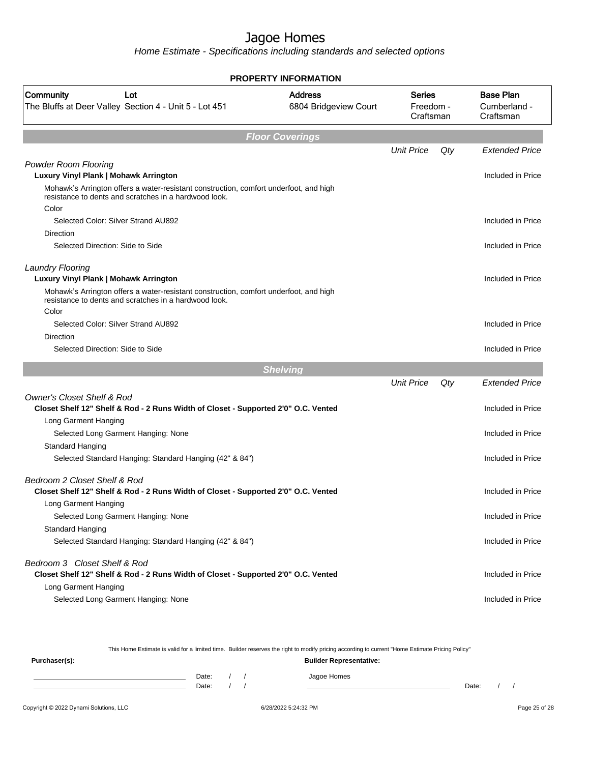Home Estimate - Specifications including standards and selected options

|                                                                                                                                                         | <b>PROPERTY INFORMATION</b>             |                                         |     |                                               |
|---------------------------------------------------------------------------------------------------------------------------------------------------------|-----------------------------------------|-----------------------------------------|-----|-----------------------------------------------|
| Community<br>Lot<br>The Bluffs at Deer Valley Section 4 - Unit 5 - Lot 451                                                                              | <b>Address</b><br>6804 Bridgeview Court | <b>Series</b><br>Freedom -<br>Craftsman |     | <b>Base Plan</b><br>Cumberland -<br>Craftsman |
|                                                                                                                                                         | <b>Floor Coverings</b>                  |                                         |     |                                               |
|                                                                                                                                                         |                                         | <b>Unit Price</b>                       | Qty | <b>Extended Price</b>                         |
| <b>Powder Room Flooring</b><br>Luxury Vinyl Plank   Mohawk Arrington                                                                                    |                                         |                                         |     | Included in Price                             |
| Mohawk's Arrington offers a water-resistant construction, comfort underfoot, and high<br>resistance to dents and scratches in a hardwood look.<br>Color |                                         |                                         |     |                                               |
| Selected Color: Silver Strand AU892                                                                                                                     |                                         |                                         |     | Included in Price                             |
| Direction                                                                                                                                               |                                         |                                         |     |                                               |
| Selected Direction: Side to Side                                                                                                                        |                                         |                                         |     | Included in Price                             |
| <b>Laundry Flooring</b>                                                                                                                                 |                                         |                                         |     |                                               |
| Luxury Vinyl Plank   Mohawk Arrington                                                                                                                   |                                         |                                         |     | Included in Price                             |
| Mohawk's Arrington offers a water-resistant construction, comfort underfoot, and high<br>resistance to dents and scratches in a hardwood look.          |                                         |                                         |     |                                               |
| Color                                                                                                                                                   |                                         |                                         |     |                                               |
| Selected Color: Silver Strand AU892<br>Direction                                                                                                        |                                         |                                         |     | Included in Price                             |
| Selected Direction: Side to Side                                                                                                                        |                                         |                                         |     | Included in Price                             |
|                                                                                                                                                         |                                         |                                         |     |                                               |
|                                                                                                                                                         | <b>Shelving</b>                         | <b>Unit Price</b>                       | Qty | <b>Extended Price</b>                         |
| <b>Owner's Closet Shelf &amp; Rod</b>                                                                                                                   |                                         |                                         |     |                                               |
| Closet Shelf 12" Shelf & Rod - 2 Runs Width of Closet - Supported 2'0" O.C. Vented                                                                      |                                         |                                         |     | Included in Price                             |
| Long Garment Hanging                                                                                                                                    |                                         |                                         |     |                                               |
| Selected Long Garment Hanging: None                                                                                                                     |                                         |                                         |     | Included in Price                             |
| <b>Standard Hanging</b>                                                                                                                                 |                                         |                                         |     |                                               |
| Selected Standard Hanging: Standard Hanging (42" & 84")                                                                                                 |                                         |                                         |     | Included in Price                             |
| Bedroom 2 Closet Shelf & Rod<br>Closet Shelf 12" Shelf & Rod - 2 Runs Width of Closet - Supported 2'0" O.C. Vented                                      |                                         |                                         |     | Included in Price                             |
| Long Garment Hanging                                                                                                                                    |                                         |                                         |     |                                               |
| Selected Long Garment Hanging: None                                                                                                                     |                                         |                                         |     | Included in Price                             |
| Standard Hanging                                                                                                                                        |                                         |                                         |     |                                               |
| Selected Standard Hanging: Standard Hanging (42" & 84")                                                                                                 |                                         |                                         |     | Included in Price                             |
| Bedroom 3 Closet Shelf & Rod                                                                                                                            |                                         |                                         |     |                                               |
| Closet Shelf 12" Shelf & Rod - 2 Runs Width of Closet - Supported 2'0" O.C. Vented                                                                      |                                         |                                         |     | Included in Price                             |
| Long Garment Hanging                                                                                                                                    |                                         |                                         |     |                                               |
| Selected Long Garment Hanging: None                                                                                                                     |                                         |                                         |     | Included in Price                             |
|                                                                                                                                                         |                                         |                                         |     |                                               |

This Home Estimate is valid for a limited time. Builder reserves the right to modify pricing according to current "Home Estimate Pricing Policy"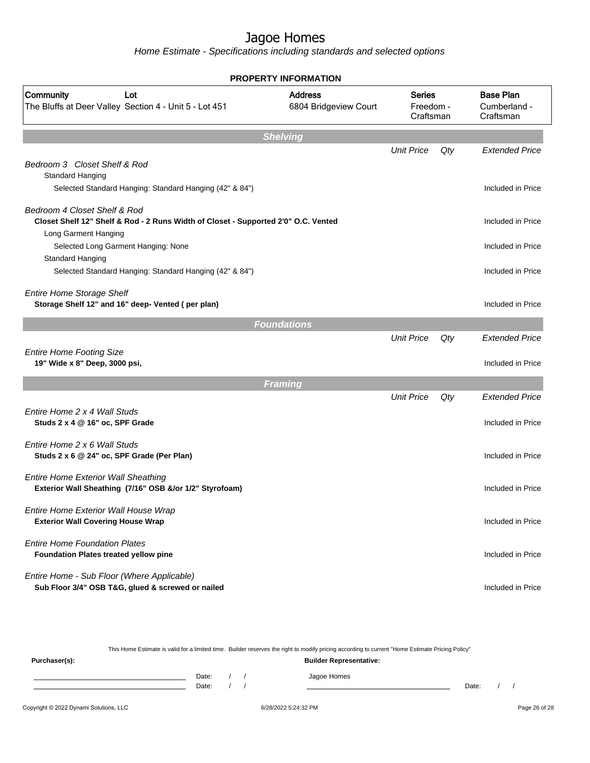Home Estimate - Specifications including standards and selected options

| <b>PROPERTY INFORMATION</b>                                                                                        |                                         |                                         |     |                                               |  |  |
|--------------------------------------------------------------------------------------------------------------------|-----------------------------------------|-----------------------------------------|-----|-----------------------------------------------|--|--|
| Community<br>Lot<br>The Bluffs at Deer Valley Section 4 - Unit 5 - Lot 451                                         | <b>Address</b><br>6804 Bridgeview Court | <b>Series</b><br>Freedom -<br>Craftsman |     | <b>Base Plan</b><br>Cumberland -<br>Craftsman |  |  |
|                                                                                                                    | <b>Shelving</b>                         |                                         |     |                                               |  |  |
| Bedroom 3 Closet Shelf & Rod<br>Standard Hanging                                                                   |                                         | <b>Unit Price</b>                       | Qty | <b>Extended Price</b>                         |  |  |
| Selected Standard Hanging: Standard Hanging (42" & 84")                                                            |                                         |                                         |     | Included in Price                             |  |  |
| Bedroom 4 Closet Shelf & Rod<br>Closet Shelf 12" Shelf & Rod - 2 Runs Width of Closet - Supported 2'0" O.C. Vented |                                         |                                         |     | Included in Price                             |  |  |
| Long Garment Hanging<br>Selected Long Garment Hanging: None<br>Standard Hanging                                    |                                         |                                         |     | Included in Price                             |  |  |
| Selected Standard Hanging: Standard Hanging (42" & 84")                                                            |                                         |                                         |     | Included in Price                             |  |  |
| <b>Entire Home Storage Shelf</b><br>Storage Shelf 12" and 16" deep- Vented (per plan)                              |                                         |                                         |     | Included in Price                             |  |  |
|                                                                                                                    | <b>Foundations</b>                      |                                         |     |                                               |  |  |
| <b>Entire Home Footing Size</b><br>19" Wide x 8" Deep, 3000 psi,                                                   |                                         | <b>Unit Price</b>                       | Qty | <b>Extended Price</b><br>Included in Price    |  |  |
|                                                                                                                    | <b>Framing</b>                          |                                         |     |                                               |  |  |
|                                                                                                                    |                                         | <b>Unit Price</b>                       | Qty | <b>Extended Price</b>                         |  |  |
| Entire Home 2 x 4 Wall Studs<br>Studs 2 x 4 @ 16" oc, SPF Grade                                                    |                                         |                                         |     | Included in Price                             |  |  |
| Entire Home 2 x 6 Wall Studs<br>Studs 2 x 6 @ 24" oc, SPF Grade (Per Plan)                                         |                                         |                                         |     | Included in Price                             |  |  |
| <b>Entire Home Exterior Wall Sheathing</b><br>Exterior Wall Sheathing (7/16" OSB &/or 1/2" Styrofoam)              |                                         |                                         |     | Included in Price                             |  |  |
| Entire Home Exterior Wall House Wrap<br><b>Exterior Wall Covering House Wrap</b>                                   |                                         |                                         |     | Included in Price                             |  |  |
| <b>Entire Home Foundation Plates</b><br><b>Foundation Plates treated yellow pine</b>                               |                                         |                                         |     | Included in Price                             |  |  |
| Entire Home - Sub Floor (Where Applicable)<br>Sub Floor 3/4" OSB T&G, glued & screwed or nailed                    |                                         |                                         |     | Included in Price                             |  |  |

Copyright © 2022 Dynami Solutions, LLC <br>
6/28/2022 5:24:32 PM Page 26 of 28 This Home Estimate is valid for a limited time. Builder reserves the right to modify pricing according to current "Home Estimate Pricing Policy" **Purchaser(s): Builder Representative:** Date: / / Jagoe Homes<br>Date: / / Jagoe Homes Date: / / **Date: / / 2006** Date: / / / Date: / / /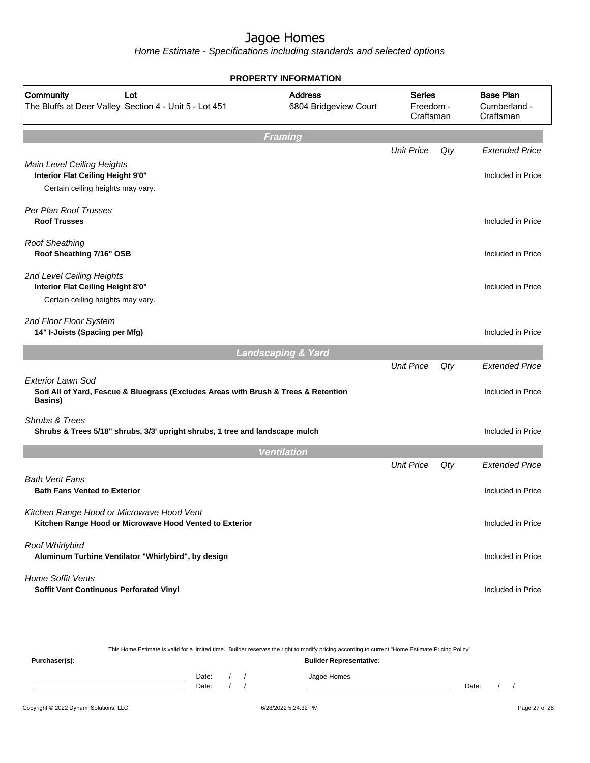Home Estimate - Specifications including standards and selected options

|                                                                                                                           | <b>PROPERTY INFORMATION</b>             |                                         |     |                                               |
|---------------------------------------------------------------------------------------------------------------------------|-----------------------------------------|-----------------------------------------|-----|-----------------------------------------------|
| Community<br>Lot<br>The Bluffs at Deer Valley Section 4 - Unit 5 - Lot 451                                                | <b>Address</b><br>6804 Bridgeview Court | <b>Series</b><br>Freedom -<br>Craftsman |     | <b>Base Plan</b><br>Cumberland -<br>Craftsman |
|                                                                                                                           | <b>Framing</b>                          |                                         |     |                                               |
|                                                                                                                           |                                         | <b>Unit Price</b>                       | Qty | <b>Extended Price</b>                         |
| Main Level Ceiling Heights<br>Interior Flat Ceiling Height 9'0"<br>Certain ceiling heights may vary.                      |                                         |                                         |     | Included in Price                             |
| Per Plan Roof Trusses<br><b>Roof Trusses</b>                                                                              |                                         |                                         |     | Included in Price                             |
| <b>Roof Sheathing</b><br>Roof Sheathing 7/16" OSB                                                                         |                                         |                                         |     | Included in Price                             |
| 2nd Level Ceiling Heights<br>Interior Flat Ceiling Height 8'0"<br>Certain ceiling heights may vary.                       |                                         |                                         |     | Included in Price                             |
| 2nd Floor Floor System<br>14" I-Joists (Spacing per Mfg)                                                                  |                                         |                                         |     | Included in Price                             |
|                                                                                                                           | <b>Landscaping &amp; Yard</b>           |                                         |     |                                               |
| <b>Exterior Lawn Sod</b><br>Sod All of Yard, Fescue & Bluegrass (Excludes Areas with Brush & Trees & Retention<br>Basins) |                                         | <b>Unit Price</b>                       | Qty | <b>Extended Price</b><br>Included in Price    |
| Shrubs & Trees<br>Shrubs & Trees 5/18" shrubs, 3/3' upright shrubs, 1 tree and landscape mulch                            |                                         |                                         |     | Included in Price                             |
|                                                                                                                           | <b>Ventilation</b>                      |                                         |     |                                               |
|                                                                                                                           |                                         | <b>Unit Price</b>                       | Qty | <b>Extended Price</b>                         |
| <b>Bath Vent Fans</b><br><b>Bath Fans Vented to Exterior</b>                                                              |                                         |                                         |     | Included in Price                             |
| Kitchen Range Hood or Microwave Hood Vent<br>Kitchen Range Hood or Microwave Hood Vented to Exterior                      |                                         |                                         |     | Included in Price                             |
| Roof Whirlybird<br>Aluminum Turbine Ventilator "Whirlybird", by design                                                    |                                         |                                         |     | Included in Price                             |
| <b>Home Soffit Vents</b><br>Soffit Vent Continuous Perforated Vinyl                                                       |                                         |                                         |     | Included in Price                             |
|                                                                                                                           |                                         |                                         |     |                                               |

|               |                                |  |  | This Home Estimate is valid for a limited time. Builder reserves the right to modify pricing according to current "Home Estimate Pricing Policy" |       |  |  |
|---------------|--------------------------------|--|--|--------------------------------------------------------------------------------------------------------------------------------------------------|-------|--|--|
| Purchaser(s): | <b>Builder Representative:</b> |  |  |                                                                                                                                                  |       |  |  |
|               | Date:                          |  |  | Jagoe Homes                                                                                                                                      |       |  |  |
|               | Date:                          |  |  |                                                                                                                                                  | Date: |  |  |
|               |                                |  |  |                                                                                                                                                  |       |  |  |